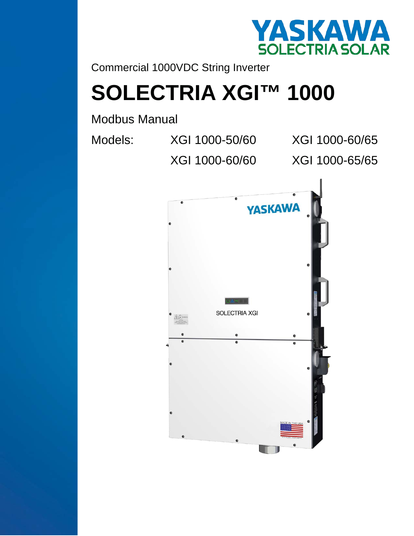

Commercial 1000VDC String Inverter

# **SOLECTRIA XGI™ 1000**

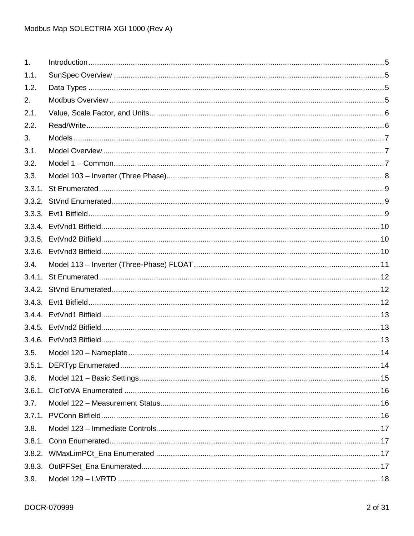| 1 <sub>1</sub> |  |
|----------------|--|
| 1.1.           |  |
| 1.2.           |  |
| 2.             |  |
| 2.1.           |  |
| 2.2.           |  |
| 3.             |  |
| 3.1.           |  |
| 3.2.           |  |
| 3.3.           |  |
|                |  |
|                |  |
|                |  |
|                |  |
|                |  |
|                |  |
| 3.4.           |  |
|                |  |
|                |  |
|                |  |
|                |  |
|                |  |
|                |  |
| 3.5.           |  |
|                |  |
| 3.6.           |  |
| 3.6.1.         |  |
| 3.7.           |  |
|                |  |
| 3.8.           |  |
| 3.8.1.         |  |
| 3.8.2.         |  |
|                |  |
| 3.9.           |  |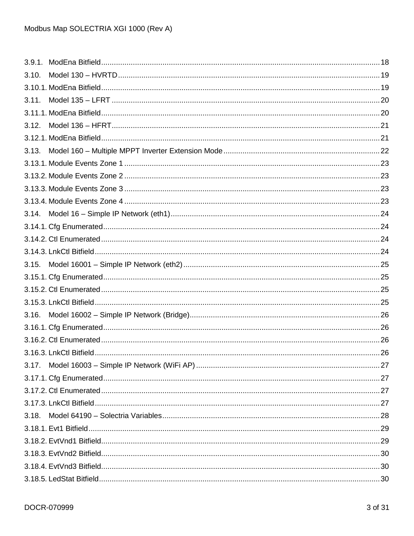| 3.10. |  |
|-------|--|
|       |  |
| 3.11. |  |
|       |  |
| 3.12. |  |
|       |  |
| 3.13. |  |
|       |  |
|       |  |
|       |  |
|       |  |
| 3.14. |  |
|       |  |
|       |  |
|       |  |
| 3.15. |  |
|       |  |
|       |  |
|       |  |
| 3.16. |  |
|       |  |
|       |  |
|       |  |
| 3.17. |  |
|       |  |
|       |  |
|       |  |
| 3.18. |  |
|       |  |
|       |  |
|       |  |
|       |  |
|       |  |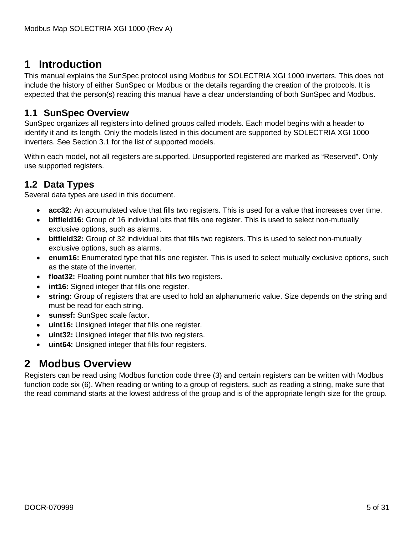# <span id="page-4-0"></span>**1 Introduction**

This manual explains the SunSpec protocol using Modbus for SOLECTRIA XGI 1000 inverters. This does not include the history of either SunSpec or Modbus or the details regarding the creation of the protocols. It is expected that the person(s) reading this manual have a clear understanding of both SunSpec and Modbus.

# <span id="page-4-1"></span>**1.1 SunSpec Overview**

SunSpec organizes all registers into defined groups called models. Each model begins with a header to identify it and its length. Only the models listed in this document are supported by SOLECTRIA XGI 1000 inverters. See Section [3.1](#page-6-1) for the list of supported models.

Within each model, not all registers are supported. Unsupported registered are marked as "Reserved". Only use supported registers.

# <span id="page-4-2"></span>**1.2 Data Types**

Several data types are used in this document.

- **acc32:** An accumulated value that fills two registers. This is used for a value that increases over time.
- **bitfield16:** Group of 16 individual bits that fills one register. This is used to select non-mutually exclusive options, such as alarms.
- **bitfield32:** Group of 32 individual bits that fills two registers. This is used to select non-mutually exclusive options, such as alarms.
- **enum16:** Enumerated type that fills one register. This is used to select mutually exclusive options, such as the state of the inverter.
- **float32:** Floating point number that fills two registers.
- int16: Signed integer that fills one register.
- **string:** Group of registers that are used to hold an alphanumeric value. Size depends on the string and must be read for each string.
- sunssf: SunSpec scale factor.
- **uint16:** Unsigned integer that fills one register.
- **uint32:** Unsigned integer that fills two registers.
- **uint64:** Unsigned integer that fills four registers.

# <span id="page-4-3"></span>**2 Modbus Overview**

Registers can be read using Modbus function code three (3) and certain registers can be written with Modbus function code six (6). When reading or writing to a group of registers, such as reading a string, make sure that the read command starts at the lowest address of the group and is of the appropriate length size for the group.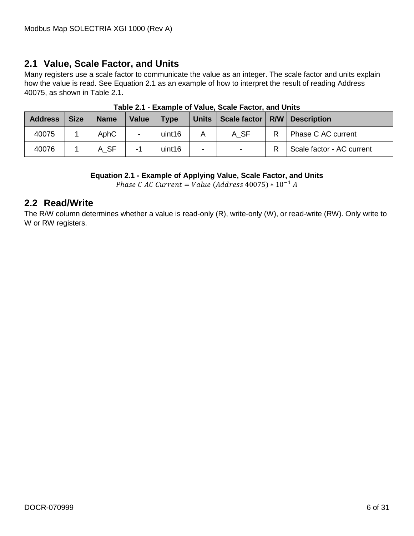# <span id="page-5-0"></span>**2.1 Value, Scale Factor, and Units**

Many registers use a scale factor to communicate the value as an integer. The scale factor and units explain how the value is read. See [Equation 2.1](#page-5-2) as an example of how to interpret the result of reading Address 40075, as shown in [Table 2.1.](#page-5-3)

<span id="page-5-3"></span>

| <b>Address</b> | <b>Size</b> | <b>Name</b> | Value                    | <b>Type</b> |                          | Units   Scale factor |   | <b>R/W</b> Description    |
|----------------|-------------|-------------|--------------------------|-------------|--------------------------|----------------------|---|---------------------------|
| 40075          |             | AphC        | $\overline{\phantom{0}}$ | uint16      | A                        | A SF                 | R | Phase C AC current        |
| 40076          |             | A SF        | -1                       | uint16      | $\overline{\phantom{0}}$ |                      |   | Scale factor - AC current |

**Table 2.1 - Example of Value, Scale Factor, and Units**

#### **Equation 2.1 - Example of Applying Value, Scale Factor, and Units**

*Phase C AC Current* = *Value* (*Address* 40075) \*  $10^{-1}$  *A* 

# <span id="page-5-2"></span><span id="page-5-1"></span>**2.2 Read/Write**

The R/W column determines whether a value is read-only (R), write-only (W), or read-write (RW). Only write to W or RW registers.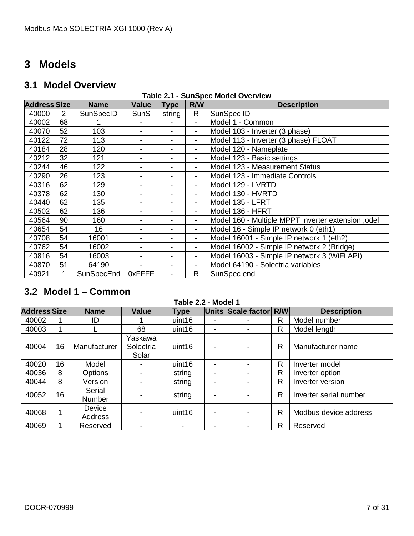# <span id="page-6-0"></span>**Models**

# <span id="page-6-1"></span>**3.1 Model Overview**

#### **Table 2.1 - SunSpec Model Overview**

| <b>AddressSSize</b> |                | <b>Name</b> | <b>Value</b> | <b>Type</b>              | R/W                      | <b>Description</b>                                  |
|---------------------|----------------|-------------|--------------|--------------------------|--------------------------|-----------------------------------------------------|
| 40000               | $\overline{2}$ | SunSpecID   | <b>SunS</b>  | string                   | R                        | SunSpec ID                                          |
| 40002               | 68             |             |              |                          |                          | Model 1 - Common                                    |
| 40070               | 52             | 103         |              | -                        | $\blacksquare$           | Model 103 - Inverter (3 phase)                      |
| 40122               | 72             | 113         |              |                          | $\overline{\phantom{a}}$ | Model 113 - Inverter (3 phase) FLOAT                |
| 40184               | 28             | 120         | Ξ.           | -                        | $\overline{\phantom{0}}$ | Model 120 - Nameplate                               |
| 40212               | 32             | 121         | Ξ.           | -                        | $\overline{\phantom{0}}$ | Model 123 - Basic settings                          |
| 40244               | 46             | 122         |              | -                        | $\overline{\phantom{a}}$ | Model 123 - Measurement Status                      |
| 40290               | 26             | 123         | -            |                          | ۰                        | Model 123 - Immediate Controls                      |
| 40316               | 62             | 129         |              | $\overline{\phantom{a}}$ | $\overline{\phantom{0}}$ | Model 129 - LVRTD                                   |
| 40378               | 62             | 130         |              |                          |                          | Model 130 - HVRTD                                   |
| 40440               | 62             | 135         |              |                          |                          | Model 135 - LFRT                                    |
| 40502               | 62             | 136         |              |                          | $\overline{\phantom{0}}$ | Model 136 - HFRT                                    |
| 40564               | 90             | 160         |              | -                        | $\overline{\phantom{a}}$ | Model 160 - Multiple MPPT inverter extension , odel |
| 40654               | 54             | 16          |              |                          | $\overline{\phantom{a}}$ | Model 16 - Simple IP network 0 (eth1)               |
| 40708               | 54             | 16001       |              |                          | $\overline{\phantom{a}}$ | Model 16001 - Simple IP network 1 (eth2)            |
| 40762               | 54             | 16002       |              |                          | $\blacksquare$           | Model 16002 - Simple IP network 2 (Bridge)          |
| 40816               | 54             | 16003       |              |                          |                          | Model 16003 - Simple IP network 3 (WiFi API)        |
| 40870               | 51             | 64190       |              |                          |                          | Model 64190 - Solectria variables                   |
| 40921               | $\mathbf 1$    | SunSpecEnd  | 0xFFFF       |                          | R                        | SunSpec end                                         |

# <span id="page-6-2"></span>**3.2 Model 1 – Common**

| Table 2.2 - Model 1 |    |                         |                               |             |   |                        |   |                        |
|---------------------|----|-------------------------|-------------------------------|-------------|---|------------------------|---|------------------------|
| <b>Address Size</b> |    | <b>Name</b>             | <b>Value</b>                  | <b>Type</b> |   | Units Scale factor R/W |   | <b>Description</b>     |
| 40002               |    | ID                      |                               | uint16      |   |                        | R | Model number           |
| 40003               |    |                         | 68                            | uint16      |   |                        | R | Model length           |
| 40004               | 16 | Manufacturer            | Yaskawa<br>Solectria<br>Solar | uint16      |   |                        | R | Manufacturer name      |
| 40020               | 16 | Model                   | $\overline{\phantom{0}}$      | uint16      | ۰ |                        | R | Inverter model         |
| 40036               | 8  | Options                 |                               | string      |   |                        | R | Inverter option        |
| 40044               | 8  | Version                 |                               | string      |   |                        | R | Inverter version       |
| 40052               | 16 | Serial<br><b>Number</b> |                               | string      |   |                        | R | Inverter serial number |
| 40068               |    | Device<br>Address       |                               | uint16      |   |                        | R | Modbus device address  |
| 40069               |    | Reserved                |                               | -           | - |                        | R | Reserved               |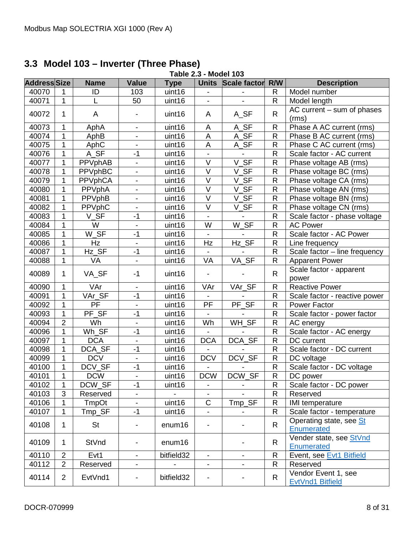# <span id="page-7-0"></span>**3.3 Model 103 – Inverter (Three Phase)**

|                     | Table 2.3 - Model 103 |                |                          |             |                          |                          |                |                                         |  |
|---------------------|-----------------------|----------------|--------------------------|-------------|--------------------------|--------------------------|----------------|-----------------------------------------|--|
| <b>Address Size</b> |                       | <b>Name</b>    | <b>Value</b>             | <b>Type</b> | <b>Units</b>             | <b>Scale factor</b>      | R/W            | <b>Description</b>                      |  |
| 40070               | 1                     | ID             | 103                      | uint16      |                          |                          | $\mathsf{R}$   | Model number                            |  |
| 40071               | $\mathbf{1}$          |                | 50                       | uint16      |                          | $\blacksquare$           | ${\sf R}$      | Model length                            |  |
| 40072               | 1                     | A              | $\overline{\phantom{a}}$ | uint16      | A                        | A_SF                     | $\mathsf{R}$   | AC current - sum of phases<br>(rms)     |  |
| 40073               | $\mathbf{1}$          | AphA           | $\overline{\phantom{a}}$ | uint16      | A                        | A_SF                     | $\mathsf{R}$   | Phase A AC current (rms)                |  |
| 40074               | $\mathbf{1}$          | AphB           | $\blacksquare$           | uint16      | A                        | $A_SF$                   | $\mathsf{R}$   | Phase B AC current (rms)                |  |
| 40075               | $\mathbf 1$           | AphC           | $\overline{\phantom{a}}$ | uint16      | $\mathsf{A}$             | A_SF                     | $\mathsf R$    | Phase C AC current (rms)                |  |
| 40076               | $\mathbf 1$           | A_SF           | $-1$                     | uint16      |                          |                          | $\mathsf{R}$   | Scale factor - AC current               |  |
| 40077               | $\mathbf 1$           | PPVphAB        | $\blacksquare$           | uint16      | $\vee$                   | $V_S$ F                  | $\mathsf{R}$   | Phase voltage AB (rms)                  |  |
| 40078               | $\mathbf 1$           | <b>PPVphBC</b> | $\overline{\phantom{0}}$ | uint16      | $\overline{\vee}$        | V SF                     | $\mathsf{R}$   | Phase voltage BC (rms)                  |  |
| 40079               | $\mathbf{1}$          | <b>PPVphCA</b> | $\blacksquare$           | uint16      | $\overline{\vee}$        | $V_S$ F                  | $\overline{R}$ | Phase voltage CA (rms)                  |  |
| 40080               | $\mathbf 1$           | PPVphA         | $\overline{\phantom{a}}$ | uint16      | $\vee$                   | $V_S$ F                  | ${\sf R}$      | Phase voltage AN (rms)                  |  |
| 40081               | $\mathbf 1$           | PPVphB         |                          | uint16      | $\overline{\vee}$        | V_SF                     | $\overline{R}$ | Phase voltage BN (rms)                  |  |
| 40082               | 1                     | PPVphC         | $\overline{\phantom{a}}$ | uint16      | $\vee$                   | $\_SF$<br>V              | $\mathsf{R}$   | Phase voltage CN (rms)                  |  |
| 40083               | $\mathbf{1}$          | $V_S$ F        | $-1$                     | uint16      |                          |                          | $\mathsf{R}$   | Scale factor - phase voltage            |  |
| 40084               | $\mathbf{1}$          | W              | $\blacksquare$           | uint16      | W                        | W_SF                     | $\mathsf{R}$   | <b>AC Power</b>                         |  |
| 40085               | $\mathbf{1}$          | $W_SF$         | $-1$                     | uint16      |                          |                          | $\mathsf{R}$   | Scale factor - AC Power                 |  |
| 40086               | $\mathbf{1}$          | Hz             | $\blacksquare$           | uint16      | Hz                       | Hz SF                    | $\mathsf R$    | Line frequency                          |  |
| 40087               | $\mathbf{1}$          | Hz_SF          | $-1$                     | uint16      |                          |                          | $\mathsf{R}$   | Scale factor - line frequency           |  |
| 40088               | $\mathbf{1}$          | VA             | $\overline{\phantom{a}}$ | uint16      | VA                       | VA SF                    | $\mathsf{R}$   | <b>Apparent Power</b>                   |  |
| 40089               | $\mathbf 1$           | VA_SF          | $-1$                     | uint16      | $\overline{\phantom{a}}$ |                          | $\mathsf{R}$   | Scale factor - apparent<br>power        |  |
| 40090               | $\mathbf{1}$          | VAr            | $\overline{\phantom{a}}$ | uint16      | VAr                      | VAr_SF                   | $\mathsf{R}$   | <b>Reactive Power</b>                   |  |
| 40091               | $\mathbf{1}$          | VAr_SF         | $-1$                     | uint16      |                          |                          | $\mathsf{R}$   | Scale factor - reactive power           |  |
| 40092               | $\mathbf 1$           | <b>PF</b>      | $\blacksquare$           | uint16      | PF                       | PF_SF                    | R              | <b>Power Factor</b>                     |  |
| 40093               | $\mathbf{1}$          | PF_SF          | $-1$                     | uint16      |                          |                          | $\mathsf{R}$   | Scale factor - power factor             |  |
| 40094               | $\overline{2}$        | Wh             | $\blacksquare$           | uint16      | Wh                       | WH_SF                    | $\mathsf{R}$   | AC energy                               |  |
| 40096               | $\mathbf{1}$          | $Wh_SF$        | $-1$                     | uint16      |                          |                          | $\mathsf{R}$   | Scale factor - AC energy                |  |
| 40097               | $\mathbf 1$           | <b>DCA</b>     | $\blacksquare$           | uint16      | <b>DCA</b>               | DCA_SF                   | $\mathsf{R}$   | DC current                              |  |
| 40098               | $\mathbf{1}$          | DCA_SF         | $-1$                     | uint16      |                          |                          | $\mathsf{R}$   | Scale factor - DC current               |  |
| 40099               | $\mathbf{1}$          | <b>DCV</b>     | $\overline{\phantom{a}}$ | uint16      | <b>DCV</b>               | DCV_SF                   | ${\sf R}$      | DC voltage                              |  |
| 40100               | $\mathbf 1$           | DCV_SF         | $-1$                     | uint16      |                          |                          | $\mathsf{R}$   | Scale factor - DC voltage               |  |
| 40101               | $\overline{1}$        | <b>DCW</b>     |                          | uint16      | <b>DCW</b>               | DCW_SF                   | $\overline{R}$ | DC power                                |  |
| 40102               | $\mathbf{1}$          | DCW_SF         | $-1$                     | uint16      |                          |                          | R              | Scale factor - DC power                 |  |
| 40103               | 3                     | Reserved       | $\overline{\phantom{a}}$ |             | $\blacksquare$           |                          | R              | Reserved                                |  |
| 40106               | $\mathbf 1$           | TmpOt          | $\blacksquare$           | uint16      | $\mathsf C$              | Tmp_SF                   | $\mathsf{R}$   | <b>IMI</b> temperature                  |  |
| 40107               | $\mathbf{1}$          | Tmp_SF         | $-1$                     | uint16      | $\blacksquare$           |                          | $\mathsf{R}$   | Scale factor - temperature              |  |
| 40108               | $\mathbf 1$           | <b>St</b>      | $\overline{\phantom{a}}$ | enum16      |                          |                          | $\mathsf{R}$   | Operating state, see St<br>Enumerated   |  |
| 40109               | $\mathbf 1$           | StVnd          | $\overline{\phantom{a}}$ | enum16      |                          |                          | $\mathsf{R}$   | Vender state, see StVnd<br>Enumerated   |  |
| 40110               | $\overline{2}$        | Evt1           | $\overline{\phantom{a}}$ | bitfield32  | $\blacksquare$           | $\overline{\phantom{0}}$ | R              | Event, see Evt1 Bitfield                |  |
| 40112               | $\overline{2}$        | Reserved       | $\overline{\phantom{a}}$ |             |                          | $\blacksquare$           | $\mathsf{R}$   | Reserved                                |  |
| 40114               | $\overline{2}$        | EvtVnd1        | $\overline{\phantom{a}}$ | bitfield32  |                          |                          | R              | Vendor Event 1, see<br>EvtVnd1 Bitfield |  |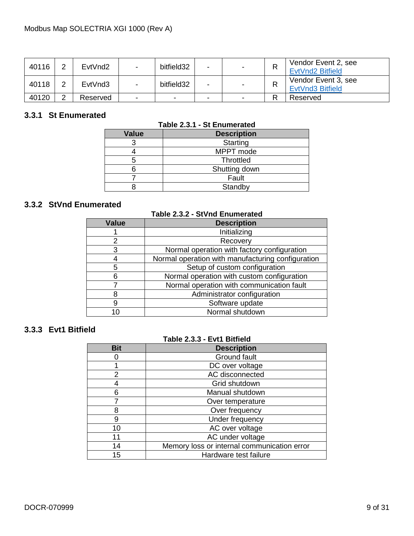| 40116 | C      | EvtVnd <sub>2</sub> | $\blacksquare$           | bitfield32 |   | n. | Vendor Event 2, see<br><b>EvtVnd2 Bitfield</b> |
|-------|--------|---------------------|--------------------------|------------|---|----|------------------------------------------------|
| 40118 | C      | EvtVnd3             | $\overline{\phantom{0}}$ | bitfield32 |   | ĸ  | Vendor Event 3, see<br>EvtVnd3 Bitfield        |
| 40120 | $\sim$ | Reserved            | -                        | -          | - | D  | Reserved                                       |

### <span id="page-8-0"></span>**3.3.1 St Enumerated**

| Table 2.3.1 - St Enumerated |  |  |
|-----------------------------|--|--|
|-----------------------------|--|--|

| <b>Value</b> | <b>Description</b> |
|--------------|--------------------|
|              | Starting           |
|              | MPPT mode          |
|              | <b>Throttled</b>   |
|              | Shutting down      |
|              | Fault              |
|              | Standby            |

# <span id="page-8-1"></span>**3.3.2 StVnd Enumerated**

| univiatua     | Table 2.3.2 - StVnd Enumerated                    |
|---------------|---------------------------------------------------|
| Value         | <b>Description</b>                                |
|               | Initializing                                      |
| $\mathcal{P}$ | Recovery                                          |
| 3             | Normal operation with factory configuration       |
|               | Normal operation with manufacturing configuration |
| 5             | Setup of custom configuration                     |
| 6             | Normal operation with custom configuration        |
|               | Normal operation with communication fault         |
|               | Administrator configuration                       |
| 9             | Software update                                   |
|               | Normal shutdown                                   |

# <span id="page-8-2"></span>**3.3.3 Evt1 Bitfield**

#### **Table 2.3.3 - Evt1 Bitfield**

<span id="page-8-3"></span>

| <b>Bit</b> | <b>Description</b>                          |
|------------|---------------------------------------------|
|            | Ground fault                                |
|            | DC over voltage                             |
| 2          | AC disconnected                             |
|            | Grid shutdown                               |
| հ          | Manual shutdown                             |
|            | Over temperature                            |
| ጸ          | Over frequency                              |
| 9          | Under frequency                             |
| 10         | AC over voltage                             |
| 11         | AC under voltage                            |
| 14         | Memory loss or internal communication error |
| 15         | Hardware test failure                       |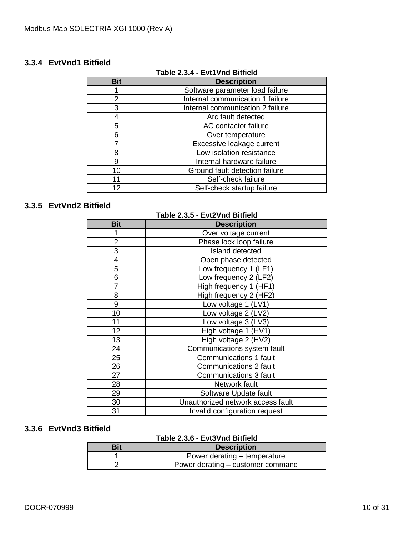# <span id="page-9-0"></span>**3.3.4 EvtVnd1 Bitfield**

| Table 2.3.4 - EVt1Vnd Bitfleid |                                  |  |  |  |  |
|--------------------------------|----------------------------------|--|--|--|--|
| <b>Bit</b>                     | <b>Description</b>               |  |  |  |  |
|                                | Software parameter load failure  |  |  |  |  |
| 2                              | Internal communication 1 failure |  |  |  |  |
| 3                              | Internal communication 2 failure |  |  |  |  |
|                                | Arc fault detected               |  |  |  |  |
| 5                              | AC contactor failure             |  |  |  |  |
| 6                              | Over temperature                 |  |  |  |  |
|                                | Excessive leakage current        |  |  |  |  |
|                                | Low isolation resistance         |  |  |  |  |
| 9                              | Internal hardware failure        |  |  |  |  |
| 10                             | Ground fault detection failure   |  |  |  |  |
| 11                             | Self-check failure               |  |  |  |  |
| 12                             | Self-check startup failure       |  |  |  |  |

# **Table 2.3.4 - Evt1Vnd Bitfield**

# <span id="page-9-1"></span>**3.3.5 EvtVnd2 Bitfield**

| Table 2.3.5 - Evt2Vnd Bitfield |                                   |  |  |  |  |  |
|--------------------------------|-----------------------------------|--|--|--|--|--|
| <b>Bit</b>                     | <b>Description</b>                |  |  |  |  |  |
| 1                              | Over voltage current              |  |  |  |  |  |
| $\overline{2}$                 | Phase lock loop failure           |  |  |  |  |  |
| 3                              | Island detected                   |  |  |  |  |  |
| 4                              | Open phase detected               |  |  |  |  |  |
| 5                              | Low frequency 1 (LF1)             |  |  |  |  |  |
| 6                              | Low frequency 2 (LF2)             |  |  |  |  |  |
| 7                              | High frequency 1 (HF1)            |  |  |  |  |  |
| 8                              | High frequency 2 (HF2)            |  |  |  |  |  |
| 9                              | Low voltage 1 (LV1)               |  |  |  |  |  |
| 10                             | Low voltage 2 (LV2)               |  |  |  |  |  |
| 11                             | Low voltage 3 (LV3)               |  |  |  |  |  |
| 12                             | High voltage 1 (HV1)              |  |  |  |  |  |
| 13                             | High voltage 2 (HV2)              |  |  |  |  |  |
| 24                             | Communications system fault       |  |  |  |  |  |
| 25                             | Communications 1 fault            |  |  |  |  |  |
| 26                             | Communications 2 fault            |  |  |  |  |  |
| 27                             | Communications 3 fault            |  |  |  |  |  |
| 28                             | Network fault                     |  |  |  |  |  |
| 29                             | Software Update fault             |  |  |  |  |  |
| 30                             | Unauthorized network access fault |  |  |  |  |  |
| 31                             | Invalid configuration request     |  |  |  |  |  |

#### <span id="page-9-2"></span>**3.3.6 EvtVnd3 Bitfield**

### **Table 2.3.6 - Evt3Vnd Bitfield**

| Bit | <b>Description</b>                |  |  |  |  |
|-----|-----------------------------------|--|--|--|--|
|     | Power derating – temperature      |  |  |  |  |
|     | Power derating – customer command |  |  |  |  |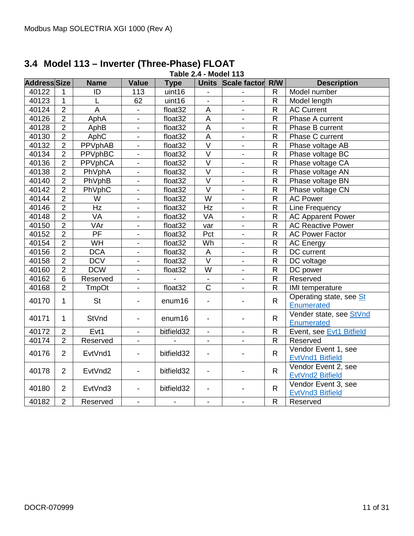<span id="page-10-1"></span>

| <b>Address Size</b> |                | <b>Name</b>     | <b>Value</b>             | <b>Type</b>              |                           | Units Scale factor R/W   |                | <b>Description</b>       |
|---------------------|----------------|-----------------|--------------------------|--------------------------|---------------------------|--------------------------|----------------|--------------------------|
| 40122               | 1              | ID              | 113                      | uint16                   |                           |                          | R.             | Model number             |
| 40123               | $\mathbf{1}$   |                 | 62                       | uint16                   | $\blacksquare$            | $\overline{\phantom{a}}$ | $\mathsf R$    | Model length             |
| 40124               | $\overline{2}$ | A               | $\mathbf{r}$             | float32                  | $\mathsf{A}$              | $\blacksquare$           | $\mathsf R$    | <b>AC Current</b>        |
| 40126               | $\overline{2}$ | AphA            | $\blacksquare$           | float <sub>32</sub>      | $\overline{A}$            | $\blacksquare$           | $\overline{R}$ | Phase A current          |
| 40128               | $\overline{2}$ | AphB            | $\overline{\phantom{a}}$ | float32                  | $\mathsf A$               | $\blacksquare$           | R              | Phase B current          |
| 40130               | $\overline{2}$ | AphC            | $\overline{\phantom{a}}$ | float32                  | $\boldsymbol{\mathsf{A}}$ | $\blacksquare$           | $\mathsf{R}$   | Phase C current          |
| 40132               | $\overline{2}$ | PPVphAB         | $\overline{a}$           | float32                  | $\overline{\vee}$         | $\blacksquare$           | $\mathsf R$    | Phase voltage AB         |
| 40134               | $\overline{2}$ | <b>PPVphBC</b>  | $\blacksquare$           | float32                  | $\overline{\vee}$         | $\blacksquare$           | $\overline{R}$ | Phase voltage BC         |
| 40136               | $\overline{2}$ | <b>PPVphCA</b>  | $\overline{a}$           | float32                  | $\overline{\vee}$         | $\overline{a}$           | $\overline{R}$ | Phase voltage CA         |
| 40138               | $\overline{2}$ | PhVphA          | $\overline{a}$           | float <sub>32</sub>      | $\overline{\vee}$         | $\blacksquare$           | $\overline{R}$ | Phase voltage AN         |
| 40140               | $\overline{2}$ | PhVphB          | $\overline{a}$           | float <sub>32</sub>      | $\overline{\vee}$         | $\blacksquare$           | $\overline{R}$ | Phase voltage BN         |
| 40142               | $\overline{2}$ | PhVphC          | $\blacksquare$           | float <sub>32</sub>      | $\overline{\vee}$         | ÷,                       | R              | Phase voltage CN         |
| 40144               | $\overline{2}$ | W               | $\frac{1}{2}$            | float32                  | $\overline{\mathsf{W}}$   | $\overline{a}$           | $\mathsf R$    | <b>AC Power</b>          |
| 40146               | $\overline{2}$ | Hz              | $\overline{a}$           | float <sub>32</sub>      | Hz                        | $\overline{a}$           | $\mathsf R$    | Line Frequency           |
| 40148               | $\overline{2}$ | <b>VA</b>       |                          | float32                  | <b>VA</b>                 | $\overline{\phantom{0}}$ | R              | <b>AC Apparent Power</b> |
| 40150               | $\overline{2}$ | VAr             | $\blacksquare$           | float <sub>32</sub>      | var                       | $\overline{\phantom{a}}$ | $\mathsf R$    | <b>AC Reactive Power</b> |
| 40152               | $\overline{2}$ | $\overline{PF}$ |                          | float <sub>32</sub>      | Pct                       | $\overline{\phantom{a}}$ | $\mathsf R$    | <b>AC Power Factor</b>   |
| 40154               | $\overline{2}$ | <b>WH</b>       | $\blacksquare$           | float <sub>32</sub>      | Wh                        | $\blacksquare$           | $\mathsf R$    | <b>AC Energy</b>         |
| 40156               | $\overline{2}$ | <b>DCA</b>      | $\blacksquare$           | float32                  | $\mathsf A$               | $\blacksquare$           | R              | DC current               |
| 40158               | $\overline{2}$ | <b>DCV</b>      | $\blacksquare$           | float <sub>32</sub>      | $\overline{\vee}$         | $\blacksquare$           | R              | DC voltage               |
| 40160               | $\overline{2}$ | <b>DCW</b>      | $\blacksquare$           | float32                  | W                         | $\overline{\phantom{a}}$ | $\mathsf{R}$   | DC power                 |
| 40162               | $\overline{6}$ | Reserved        | $\blacksquare$           |                          |                           | $\blacksquare$           | $\overline{R}$ | Reserved                 |
| 40168               | $\overline{2}$ | TmpOt           | $\overline{\phantom{a}}$ | float <sub>32</sub>      | $\overline{\text{c}}$     | $\blacksquare$           | R              | <b>IMI</b> temperature   |
| 40170               | $\overline{1}$ | <b>St</b>       | $\blacksquare$           | enum16                   |                           |                          | $\mathsf{R}$   | Operating state, see St  |
|                     |                |                 |                          |                          |                           |                          |                | Enumerated               |
| 40171               | 1              | StVnd           | $\blacksquare$           | enum16                   |                           |                          | $\mathsf{R}$   | Vender state, see StVnd  |
|                     |                |                 |                          |                          |                           |                          |                | Enumerated               |
| 40172               | $\overline{2}$ | Evt1            | $\blacksquare$           | bitfield32               |                           | $\blacksquare$           | R.             | Event, see Evt1 Bitfield |
| 40174               | $\overline{2}$ | Reserved        |                          |                          |                           | $\blacksquare$           | $\overline{R}$ | Reserved                 |
| 40176               | $\overline{2}$ | EvtVnd1         | $\blacksquare$           | bitfield32               | $\overline{\phantom{a}}$  |                          | $\mathsf{R}$   | Vendor Event 1, see      |
|                     |                |                 |                          |                          |                           |                          |                | EvtVnd1 Bitfield         |
| 40178               | $\overline{2}$ | EvtVnd2         | $\blacksquare$           | bitfield32               | $\overline{\phantom{a}}$  |                          | R.             | Vendor Event 2, see      |
|                     |                |                 |                          |                          |                           |                          |                | EvtVnd2 Bitfield         |
| 40180               | $\overline{2}$ | EvtVnd3         | $\blacksquare$           | bitfield32               |                           |                          | $\mathsf{R}$   | Vendor Event 3, see      |
|                     |                |                 |                          |                          |                           |                          |                | EvtVnd3 Bitfield         |
| 40182               | $\overline{2}$ | Reserved        | $\overline{\phantom{a}}$ | $\overline{\phantom{a}}$ | $\overline{\phantom{a}}$  |                          | $\mathsf{R}$   | Reserved                 |

# <span id="page-10-0"></span>**3.4 Model 113 – Inverter (Three-Phase) FLOAT Table 2.4 - Model 113**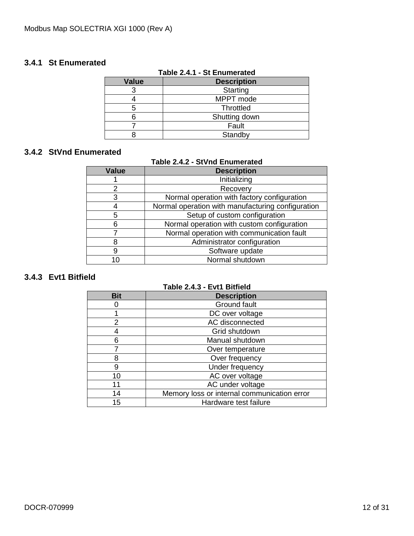### <span id="page-11-0"></span>**3.4.1 St Enumerated**

|              | .                  |  |  |  |  |  |  |
|--------------|--------------------|--|--|--|--|--|--|
| <b>Value</b> | <b>Description</b> |  |  |  |  |  |  |
|              | Starting           |  |  |  |  |  |  |
|              | MPPT mode          |  |  |  |  |  |  |
|              | <b>Throttled</b>   |  |  |  |  |  |  |
|              | Shutting down      |  |  |  |  |  |  |
|              | Fault              |  |  |  |  |  |  |
|              | Standby            |  |  |  |  |  |  |

#### **Table 2.4.1 - St Enumerated**

### <span id="page-11-1"></span>**3.4.2 StVnd Enumerated**

#### **Table 2.4.2 - StVnd Enumerated**

| <b>Value</b> | <b>Description</b>                                |  |  |  |  |  |
|--------------|---------------------------------------------------|--|--|--|--|--|
|              | Initializing                                      |  |  |  |  |  |
| 2            | Recovery                                          |  |  |  |  |  |
| 3            | Normal operation with factory configuration       |  |  |  |  |  |
|              | Normal operation with manufacturing configuration |  |  |  |  |  |
| 5            | Setup of custom configuration                     |  |  |  |  |  |
| 6            | Normal operation with custom configuration        |  |  |  |  |  |
|              | Normal operation with communication fault         |  |  |  |  |  |
|              | Administrator configuration                       |  |  |  |  |  |
| 9            | Software update                                   |  |  |  |  |  |
|              | Normal shutdown                                   |  |  |  |  |  |

# <span id="page-11-2"></span>**3.4.3 Evt1 Bitfield**

#### **Table 2.4.3 - Evt1 Bitfield**

<span id="page-11-3"></span>

| <b>Bit</b> | <b>Description</b>                          |  |  |  |  |  |
|------------|---------------------------------------------|--|--|--|--|--|
|            | Ground fault                                |  |  |  |  |  |
|            | DC over voltage                             |  |  |  |  |  |
| 2          | AC disconnected                             |  |  |  |  |  |
|            | Grid shutdown                               |  |  |  |  |  |
| 6          | Manual shutdown                             |  |  |  |  |  |
|            | Over temperature                            |  |  |  |  |  |
| 8          | Over frequency                              |  |  |  |  |  |
| 9          | Under frequency                             |  |  |  |  |  |
| 10         | AC over voltage                             |  |  |  |  |  |
| 11         | AC under voltage                            |  |  |  |  |  |
| 14         | Memory loss or internal communication error |  |  |  |  |  |
| 15         | Hardware test failure                       |  |  |  |  |  |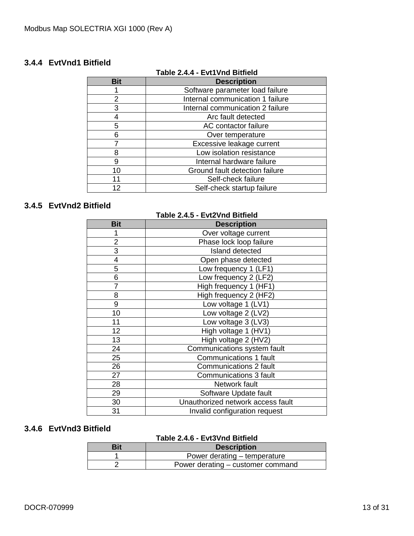# <span id="page-12-0"></span>**3.4.4 EvtVnd1 Bitfield**

| Table 2.4.4 - Evt1Vnd Bitfield |                                  |  |  |  |  |
|--------------------------------|----------------------------------|--|--|--|--|
| <b>Bit</b>                     | <b>Description</b>               |  |  |  |  |
|                                | Software parameter load failure  |  |  |  |  |
| 2                              | Internal communication 1 failure |  |  |  |  |
| 3                              | Internal communication 2 failure |  |  |  |  |
|                                | Arc fault detected               |  |  |  |  |
| 5                              | AC contactor failure             |  |  |  |  |
| 6                              | Over temperature                 |  |  |  |  |
|                                | Excessive leakage current        |  |  |  |  |
| 8                              | Low isolation resistance         |  |  |  |  |
| 9                              | Internal hardware failure        |  |  |  |  |
| 10                             | Ground fault detection failure   |  |  |  |  |
| 11                             | Self-check failure               |  |  |  |  |
| 12                             | Self-check startup failure       |  |  |  |  |

# **Table 2.4.4 - Evt1Vnd Bitfield**

# <span id="page-12-1"></span>**3.4.5 EvtVnd2 Bitfield**

| Table 2.4.5 - Evt2Vnd Bitfield |                                   |  |  |  |  |  |
|--------------------------------|-----------------------------------|--|--|--|--|--|
| <b>Bit</b>                     | <b>Description</b>                |  |  |  |  |  |
|                                | Over voltage current              |  |  |  |  |  |
| $\overline{2}$                 | Phase lock loop failure           |  |  |  |  |  |
| 3                              | Island detected                   |  |  |  |  |  |
| 4                              | Open phase detected               |  |  |  |  |  |
| 5                              | Low frequency 1 (LF1)             |  |  |  |  |  |
| 6                              | Low frequency 2 (LF2)             |  |  |  |  |  |
| 7                              | High frequency 1 (HF1)            |  |  |  |  |  |
| 8                              | High frequency 2 (HF2)            |  |  |  |  |  |
| 9                              | Low voltage 1 (LV1)               |  |  |  |  |  |
| 10                             | Low voltage 2 (LV2)               |  |  |  |  |  |
| 11                             | Low voltage 3 (LV3)               |  |  |  |  |  |
| 12                             | High voltage 1 (HV1)              |  |  |  |  |  |
| 13                             | High voltage 2 (HV2)              |  |  |  |  |  |
| 24                             | Communications system fault       |  |  |  |  |  |
| 25                             | <b>Communications 1 fault</b>     |  |  |  |  |  |
| 26                             | <b>Communications 2 fault</b>     |  |  |  |  |  |
| 27                             | Communications 3 fault            |  |  |  |  |  |
| 28                             | Network fault                     |  |  |  |  |  |
| 29                             | Software Update fault             |  |  |  |  |  |
| 30                             | Unauthorized network access fault |  |  |  |  |  |
| 31                             | Invalid configuration request     |  |  |  |  |  |

#### <span id="page-12-2"></span>**3.4.6 EvtVnd3 Bitfield**

#### **Table 2.4.6 - Evt3Vnd Bitfield**

| Bit | <b>Description</b>                |  |  |  |  |
|-----|-----------------------------------|--|--|--|--|
|     | Power derating – temperature      |  |  |  |  |
|     | Power derating – customer command |  |  |  |  |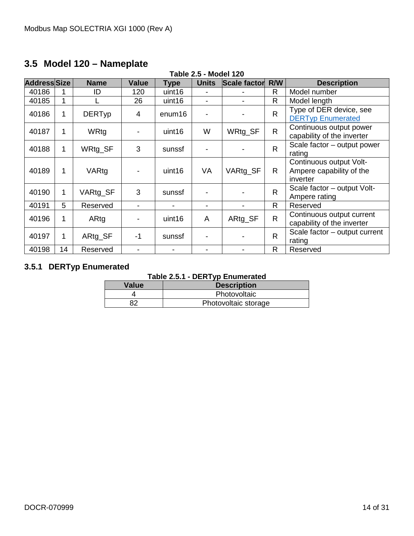# <span id="page-13-0"></span>**3.5 Model 120 – Nameplate**

| <b>Table 2.5 - Model 120</b> |    |               |                |                          |                |                     |              |                                                                 |
|------------------------------|----|---------------|----------------|--------------------------|----------------|---------------------|--------------|-----------------------------------------------------------------|
| <b>Address Size</b>          |    | <b>Name</b>   | <b>Value</b>   | Type                     | <b>Units</b>   | <b>Scale factor</b> | R/W          | <b>Description</b>                                              |
| 40186                        |    | ID            | 120            | uint16                   |                |                     | R.           | Model number                                                    |
| 40185                        | 1  |               | 26             | uint16                   |                |                     | R            | Model length                                                    |
| 40186                        | 1  | <b>DERTyp</b> | 4              | enum16                   | $\blacksquare$ |                     | $\mathsf{R}$ | Type of DER device, see<br><b>DERTyp Enumerated</b>             |
| 40187                        | 1  | WRtg          | $\blacksquare$ | uint16                   | W              | WRtg_SF             | R.           | Continuous output power<br>capability of the inverter           |
| 40188                        | 1  | WRtg_SF       | 3              | sunssf                   |                |                     | $\mathsf{R}$ | Scale factor – output power<br>rating                           |
| 40189                        | 1  | VARtg         |                | uint16                   | VA             | VARtg_SF            | R.           | Continuous output Volt-<br>Ampere capability of the<br>inverter |
| 40190                        | 1  | VARtg_SF      | 3              | sunssf                   |                |                     | $\mathsf{R}$ | Scale factor - output Volt-<br>Ampere rating                    |
| 40191                        | 5  | Reserved      |                | $\overline{\phantom{a}}$ | ۰              |                     | R.           | Reserved                                                        |
| 40196                        | 1  | ARtg          |                | uint16                   | A              | ARtg_SF             | R.           | Continuous output current<br>capability of the inverter         |
| 40197                        | 1  | ARtg_SF       | $-1$           | sunssf                   | $\blacksquare$ |                     | $\mathsf{R}$ | Scale factor – output current<br>rating                         |
| 40198                        | 14 | Reserved      | $\blacksquare$ | $\blacksquare$           | ۰              |                     | R            | Reserved                                                        |

# <span id="page-13-1"></span>**3.5.1 DERTyp Enumerated**

#### **Table 2.5.1 - DERTyp Enumerated**

| Value | <b>Description</b>   |
|-------|----------------------|
|       | Photovoltaic         |
| 82    | Photovoltaic storage |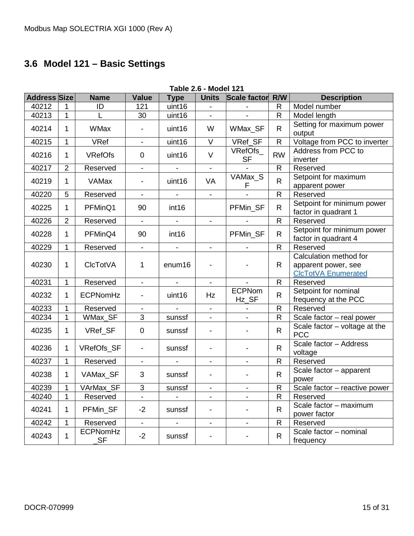# <span id="page-14-0"></span>**3.6 Model 121 – Basic Settings**

<span id="page-14-1"></span>

| <b>Table 2.6 - Model 121</b> |                |                        |                          |                              |                          |                          |                     |                                                                             |
|------------------------------|----------------|------------------------|--------------------------|------------------------------|--------------------------|--------------------------|---------------------|-----------------------------------------------------------------------------|
| <b>Address Size</b>          |                | <b>Name</b>            | <b>Value</b>             | <b>Type</b>                  | <b>Units</b>             | Scale factor             | R/W                 | <b>Description</b>                                                          |
| 40212                        | 1              | ID                     | 121                      | uint16                       |                          |                          | $\mathsf{R}$        | Model number                                                                |
| 40213                        | $\mathbf{1}$   |                        | 30                       | uint16                       |                          |                          | R                   | Model length                                                                |
| 40214                        | 1              | <b>WMax</b>            |                          | uint16                       | W                        | WMax_SF                  | $\mathsf{R}$        | Setting for maximum power<br>output                                         |
| 40215                        | $\mathbf{1}$   | <b>VRef</b>            | $\overline{\phantom{0}}$ | uint16                       | $\vee$                   | VRef_SF                  | $\mathsf{R}$        | Voltage from PCC to inverter                                                |
| 40216                        | 1              | <b>VRefOfs</b>         | $\mathbf 0$              | uint16                       | $\vee$                   | VRefOfs<br><b>SF</b>     | <b>RW</b>           | Address from PCC to<br>inverter                                             |
| 40217                        | $\overline{2}$ | Reserved               | Ξ.                       | $\overline{\phantom{a}}$     | $\blacksquare$           |                          | $\mathsf{R}$        | Reserved                                                                    |
| 40219                        | 1              | <b>VAMax</b>           |                          | uint16                       | <b>VA</b>                | VAMax_S<br>F             | R.                  | Setpoint for maximum<br>apparent power                                      |
| 40220                        | 5              | Reserved               | $\overline{\phantom{0}}$ | $\blacksquare$               | $\blacksquare$           |                          | $\mathsf{R}$        | Reserved                                                                    |
| 40225                        | 1              | PFMinQ1                | 90                       | int <sub>16</sub>            |                          | PFMin_SF                 | R                   | Setpoint for minimum power<br>factor in quadrant 1                          |
| 40226                        | $\overline{2}$ | Reserved               |                          | $\qquad \qquad \blacksquare$ |                          |                          | R                   | Reserved                                                                    |
| 40228                        | 1              | PFMinQ4                | 90                       | int <sub>16</sub>            |                          | PFMin_SF                 | $\mathsf{R}$        | Setpoint for minimum power<br>factor in quadrant 4                          |
| 40229                        | 1              | Reserved               | $\blacksquare$           |                              | $\blacksquare$           |                          | $\mathsf{R}$        | Reserved                                                                    |
| 40230                        | 1              | <b>CIcTotVA</b>        | 1                        | enum16                       |                          |                          | R                   | Calculation method for<br>apparent power, see<br><b>CIcTotVA Enumerated</b> |
| 40231                        | 1              | Reserved               | $\blacksquare$           | $\overline{\phantom{a}}$     |                          |                          | $\mathsf{R}$        | Reserved                                                                    |
| 40232                        | 1              | ECPNomHz               |                          | uint16                       | Hz                       | <b>ECPNom</b><br>Hz_SF   | R.                  | Setpoint for nominal<br>frequency at the PCC                                |
| 40233                        | 1              | Reserved               |                          |                              |                          |                          | $\mathsf{R}$        | Reserved                                                                    |
| 40234                        | 1              | WMax_SF                | 3                        | sunssf                       |                          | $\overline{\phantom{0}}$ | $\mathsf{R}$        | Scale factor - real power                                                   |
| 40235                        | 1              | VRef_SF                | $\mathbf 0$              | sunssf                       |                          |                          | $\mathsf{R}$        | Scale factor $-$ voltage at the<br><b>PCC</b>                               |
| 40236                        | 1              | VRefOfs_SF             | $\overline{\phantom{a}}$ | sunssf                       |                          |                          | $\mathsf{R}$        | Scale factor - Address<br>voltage                                           |
| 40237                        | $\mathbf{1}$   | Reserved               | $\overline{\phantom{0}}$ |                              | $\blacksquare$           | $\overline{\phantom{a}}$ | $\mathsf{R}$        | Reserved                                                                    |
| 40238                        | 1              | VAMax_SF               | 3                        | sunssf                       |                          |                          | $\mathsf{R}$        | Scale factor - apparent<br>power                                            |
| 40239                        | $\mathbf{1}$   | VArMax_SF              | 3                        | sunssf                       | ۰.                       | Ξ.                       | $\blacksquare$<br>ĸ | Scale factor - reactive power                                               |
| 40240                        | 1              | Reserved               |                          |                              | $\overline{\phantom{a}}$ | $\frac{1}{2}$            | R                   | Reserved                                                                    |
| 40241                        | 1              | PFMin_SF               | $-2$                     | sunssf                       | $\overline{\phantom{a}}$ |                          | R                   | Scale factor - maximum<br>power factor                                      |
| 40242                        | $\mathbf{1}$   | Reserved               | $\overline{\phantom{0}}$ |                              | $\blacksquare$           | $\blacksquare$           | R                   | Reserved                                                                    |
| 40243                        | $\mathbf{1}$   | <b>ECPNomHz</b><br>SF. | $-2$                     | sunssf                       |                          |                          | R                   | Scale factor - nominal<br>frequency                                         |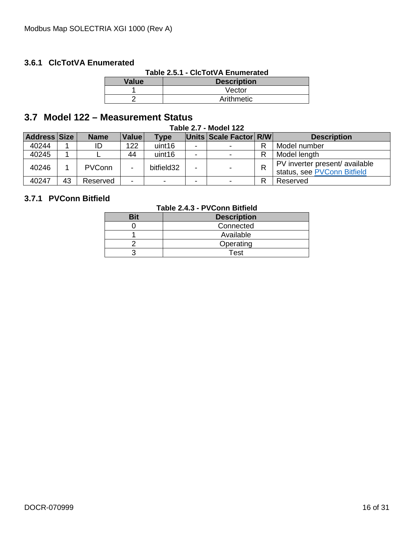# <span id="page-15-0"></span>**3.6.1 ClcTotVA Enumerated**

| Table 2.5.1 - CIcTotVA Enumerated |  |
|-----------------------------------|--|
|-----------------------------------|--|

| <b>Value</b> | <b>Description</b> |
|--------------|--------------------|
|              | Vector             |
|              | Arithmetic         |

# <span id="page-15-1"></span>**3.7 Model 122 – Measurement Status**

|  |  | <b>Table 2.7 - Model 122</b> |  |
|--|--|------------------------------|--|
|--|--|------------------------------|--|

| <b>Address Size</b> |    | <b>Name</b>   | Value                    | <b>Type</b>                 |   | Units Scale Factor R/W | <b>Description</b>             |
|---------------------|----|---------------|--------------------------|-----------------------------|---|------------------------|--------------------------------|
| 40244               |    |               | 122                      | uint16                      | - |                        | Model number                   |
| 40245               |    |               | 44                       | uint16                      |   |                        | Model length                   |
| 40246               |    | <b>PVConn</b> |                          | bitfield32                  |   |                        | PV inverter present/ available |
|                     |    |               |                          | status, see PVConn Bitfield |   |                        |                                |
| 40247               | 43 | Reserved      | $\overline{\phantom{0}}$ | $\overline{\phantom{a}}$    | - |                        | Reserved                       |

### <span id="page-15-2"></span>**3.7.1 PVConn Bitfield**

#### **Table 2.4.3 - PVConn Bitfield**

| . |                    |  |  |  |  |  |  |
|---|--------------------|--|--|--|--|--|--|
|   | <b>Description</b> |  |  |  |  |  |  |
|   | Connected          |  |  |  |  |  |  |
|   | Available          |  |  |  |  |  |  |
|   | Operating          |  |  |  |  |  |  |
|   | <b>Test</b>        |  |  |  |  |  |  |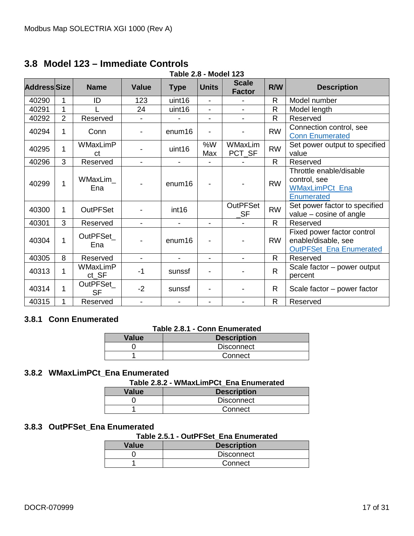# <span id="page-16-0"></span>**3.8 Model 123 – Immediate Controls**

| <b>Table 2.8 - Model 123</b> |                |                             |                          |                          |                          |                               |              |                                                                                       |
|------------------------------|----------------|-----------------------------|--------------------------|--------------------------|--------------------------|-------------------------------|--------------|---------------------------------------------------------------------------------------|
| <b>AddressSize</b>           |                | <b>Name</b>                 | <b>Value</b>             | <b>Type</b>              | <b>Units</b>             | <b>Scale</b><br><b>Factor</b> | R/W          | <b>Description</b>                                                                    |
| 40290                        | 1              | ID                          | 123                      | uint16                   | $\overline{\phantom{0}}$ |                               | R            | Model number                                                                          |
| 40291                        | 1              |                             | 24                       | uint16                   | $\overline{\phantom{0}}$ |                               | R            | Model length                                                                          |
| 40292                        | $\overline{2}$ | Reserved                    |                          |                          | $\blacksquare$           | $\blacksquare$                | R            | Reserved                                                                              |
| 40294                        | 1              | Conn                        |                          | enum <sub>16</sub>       |                          |                               | <b>RW</b>    | Connection control, see<br><b>Conn Enumerated</b>                                     |
| 40295                        | 1              | WMaxLimP<br>ct              |                          | uint16                   | %W<br>Max                | <b>WMaxLim</b><br>PCT_SF      | <b>RW</b>    | Set power output to specified<br>value                                                |
| 40296                        | 3              | Reserved                    | $\overline{\phantom{a}}$ | $\blacksquare$           |                          |                               | R.           | Reserved                                                                              |
| 40299                        | 1              | WMaxLim<br>Ena              |                          | enum <sub>16</sub>       |                          |                               | <b>RW</b>    | Throttle enable/disable<br>control, see<br><b>WMaxLimPCt Ena</b><br><b>Enumerated</b> |
| 40300                        | 1              | <b>OutPFSet</b>             |                          | int <sub>16</sub>        |                          | <b>OutPFSet</b><br><b>SF</b>  | <b>RW</b>    | Set power factor to specified<br>value $-$ cosine of angle                            |
| 40301                        | 3              | Reserved                    | $\blacksquare$           | $\blacksquare$           | $\blacksquare$           |                               | $\mathsf{R}$ | Reserved                                                                              |
| 40304                        | 1              | OutPFSet<br>Ena             |                          | enum16                   |                          |                               | <b>RW</b>    | Fixed power factor control<br>enable/disable, see<br><b>OutPFSet Ena Enumerated</b>   |
| 40305                        | 8              | Reserved                    | $\blacksquare$           | $\overline{\phantom{0}}$ | $\blacksquare$           | $\overline{\phantom{0}}$      | $\mathsf{R}$ | Reserved                                                                              |
| 40313                        | 1              | <b>WMaxLimP</b><br>$ct\_SF$ | $-1$                     | sunssf                   |                          |                               | R.           | Scale factor - power output<br>percent                                                |
| 40314                        | 1              | OutPFSet_<br><b>SF</b>      | $-2$                     | sunssf                   |                          |                               | R            | Scale factor – power factor                                                           |
| 40315                        | 1              | Reserved                    | Ξ.                       |                          | -                        |                               | R            | Reserved                                                                              |

#### <span id="page-16-1"></span>**3.8.1 Conn Enumerated**

#### **Table 2.8.1 - Conn Enumerated**

| <b>Value</b> | <b>Description</b> |
|--------------|--------------------|
|              | <b>Disconnect</b>  |
|              | Connect            |

# <span id="page-16-2"></span>**3.8.2 WMaxLimPCt\_Ena Enumerated**

#### **Table 2.8.2 - WMaxLimPCt\_Ena Enumerated**

| Value | <b>Description</b> |
|-------|--------------------|
|       | <b>Disconnect</b>  |
|       | Connect            |

#### <span id="page-16-3"></span>**3.8.3 OutPFSet\_Ena Enumerated**

#### **Table 2.5.1 - OutPFSet\_Ena Enumerated**

| <b>Value</b> | <b>Description</b> |
|--------------|--------------------|
|              | <b>Disconnect</b>  |
|              | Connect            |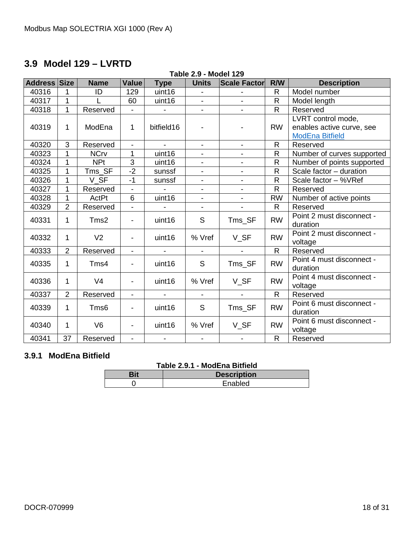# <span id="page-17-0"></span>**3.9 Model 129 – LVRTD**

| <b>Table 2.9 - Model 129</b> |                |                  |                          |                          |                          |                          |                |                                                                           |
|------------------------------|----------------|------------------|--------------------------|--------------------------|--------------------------|--------------------------|----------------|---------------------------------------------------------------------------|
| <b>Address</b>               | Size           | <b>Name</b>      | Value                    | <b>Type</b>              | <b>Units</b>             | <b>Scale Factor</b>      | R/W            | <b>Description</b>                                                        |
| 40316                        | 1              | ID               | 129                      | uint16                   | $\overline{\phantom{0}}$ |                          | R              | Model number                                                              |
| 40317                        | $\overline{1}$ |                  | 60                       | uint16                   | $\blacksquare$           | $\blacksquare$           | $\mathsf{R}$   | Model length                                                              |
| 40318                        | 1              | Reserved         | $\overline{\phantom{a}}$ | $\blacksquare$           | $\blacksquare$           | $\overline{\phantom{a}}$ | $\overline{R}$ | Reserved                                                                  |
| 40319                        | 1              | ModEna           | 1                        | bitfield16               |                          |                          | <b>RW</b>      | LVRT control mode,<br>enables active curve, see<br><b>ModEna Bitfield</b> |
| 40320                        | 3              | Reserved         | ÷.                       |                          | $\overline{a}$           | $\blacksquare$           | R              | Reserved                                                                  |
| 40323                        | 1              | <b>NCrv</b>      | 1                        | uint16                   |                          | $\overline{\phantom{a}}$ | $\overline{R}$ | Number of curves supported                                                |
| 40324                        | 1              | <b>NPt</b>       | 3                        | uint16                   | $\blacksquare$           | $\overline{\phantom{a}}$ | $\mathsf{R}$   | Number of points supported                                                |
| 40325                        | $\mathbf 1$    | Tms_SF           | $-2$                     | sunssf                   | $\overline{\phantom{a}}$ | $\blacksquare$           | R              | Scale factor - duration                                                   |
| 40326                        | 1              | V SF             | $-1$                     | sunssf                   | $\blacksquare$           | $\overline{\phantom{a}}$ | $\mathsf{R}$   | Scale factor - %VRef                                                      |
| 40327                        | 1              | Reserved         | $\blacksquare$           |                          |                          | $\blacksquare$           | $\mathsf{R}$   | Reserved                                                                  |
| 40328                        | 1              | ActPt            | 6                        | uint16                   | $\overline{\phantom{a}}$ | $\overline{\phantom{a}}$ | <b>RW</b>      | Number of active points                                                   |
| 40329                        | $\overline{2}$ | Reserved         | $\overline{a}$           |                          | $\blacksquare$           |                          | $\mathsf{R}$   | Reserved                                                                  |
| 40331                        | 1              | Tms2             | $\blacksquare$           | uint16                   | S                        | Tms_SF                   | <b>RW</b>      | Point 2 must disconnect -<br>duration                                     |
| 40332                        | 1              | V <sub>2</sub>   |                          | uint16                   | % Vref                   | V_SF                     | <b>RW</b>      | Point 2 must disconnect -<br>voltage                                      |
| 40333                        | 2              | Reserved         | $\overline{\phantom{a}}$ | $\blacksquare$           | $\blacksquare$           | $\blacksquare$           | $\mathsf{R}$   | Reserved                                                                  |
| 40335                        | 1              | Tms4             | $\overline{\phantom{0}}$ | uint16                   | $\mathsf S$              | Tms_SF                   | <b>RW</b>      | Point 4 must disconnect -<br>duration                                     |
| 40336                        | 1              | V <sub>4</sub>   |                          | uint16                   | % Vref                   | V_SF                     | <b>RW</b>      | Point 4 must disconnect -<br>voltage                                      |
| 40337                        | $\overline{2}$ | Reserved         | $\overline{\phantom{a}}$ | $\blacksquare$           | $\blacksquare$           | $\blacksquare$           | $\mathsf{R}$   | Reserved                                                                  |
| 40339                        | $\mathbf 1$    | Tms <sub>6</sub> | -                        | uint16                   | S                        | Tms_SF                   | <b>RW</b>      | Point 6 must disconnect -<br>duration                                     |
| 40340                        | 1              | V <sub>6</sub>   |                          | uint16                   | % Vref                   | V_SF                     | <b>RW</b>      | Point 6 must disconnect -<br>voltage                                      |
| 40341                        | 37             | Reserved         | $\blacksquare$           | $\overline{\phantom{a}}$ | $\blacksquare$           | $\blacksquare$           | $\mathsf{R}$   | Reserved                                                                  |

# <span id="page-17-1"></span>**3.9.1 ModEna Bitfield**

# **Table 2.9.1 - ModEna Bitfield**

| ---------------<br>----------------------- |
|--------------------------------------------|
| <b>Description</b>                         |
| Enabled                                    |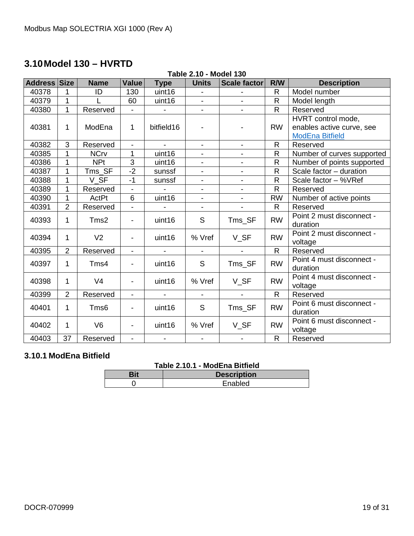# <span id="page-18-0"></span>**3.10Model 130 – HVRTD**

#### **Table 2.10 - Model 130**

| <b>Address Size</b> |                | <b>Name</b>      | Value                    | <b>Type</b>              | <b>Units</b>             | Scale factor             | R/W          | <b>Description</b>                    |
|---------------------|----------------|------------------|--------------------------|--------------------------|--------------------------|--------------------------|--------------|---------------------------------------|
| 40378               | 1              | ID               | 130                      | uint16                   |                          |                          | R            | Model number                          |
| 40379               | 1              |                  | 60                       | uint16                   | $\overline{\phantom{a}}$ |                          | $\mathsf{R}$ | Model length                          |
| 40380               | 1              | Reserved         |                          |                          | $\overline{\phantom{a}}$ |                          | $\mathsf{R}$ | Reserved                              |
|                     |                |                  |                          |                          |                          |                          |              | HVRT control mode,                    |
| 40381               | 1              | ModEna           | 1                        | bitfield16               |                          |                          | <b>RW</b>    | enables active curve, see             |
|                     |                |                  |                          |                          |                          |                          |              | <b>ModEna Bitfield</b>                |
| 40382               | 3              | Reserved         | $\blacksquare$           |                          | $\blacksquare$           | $\blacksquare$           | $\mathsf{R}$ | Reserved                              |
| 40385               | 1              | <b>NCrv</b>      | 1                        | uint16                   | $\blacksquare$           |                          | $\mathsf{R}$ | Number of curves supported            |
| 40386               | 1              | <b>NPt</b>       | $\overline{3}$           | uint16                   | $\blacksquare$           | $\blacksquare$           | $\mathsf R$  | Number of points supported            |
| 40387               | 1              | Tms SF           | $-2$                     | sunssf                   | $\overline{\phantom{a}}$ | $\overline{\phantom{a}}$ | $\mathsf{R}$ | Scale factor - duration               |
| 40388               | 1              | V SF             | $-1$                     | sunssf                   | $\overline{\phantom{a}}$ | $\blacksquare$           | $\mathsf{R}$ | Scale factor - %VRef                  |
| 40389               | 1              | Reserved         | $\blacksquare$           |                          | $\overline{\phantom{a}}$ | $\overline{\phantom{a}}$ | $\mathsf{R}$ | Reserved                              |
| 40390               | 1              | ActPt            | 6                        | uint16                   | $\blacksquare$           | $\blacksquare$           | <b>RW</b>    | Number of active points               |
| 40391               | $\overline{2}$ | Reserved         | $\blacksquare$           |                          | $\blacksquare$           |                          | R            | Reserved                              |
| 40393               | 1              | Tms2             |                          | uint16                   | S                        | Tms_SF                   | <b>RW</b>    | Point 2 must disconnect -<br>duration |
| 40394               | 1              | V <sub>2</sub>   | $\overline{\phantom{a}}$ | uint16                   | % Vref                   | V_SF                     | <b>RW</b>    | Point 2 must disconnect -<br>voltage  |
| 40395               | $\overline{2}$ | Reserved         | $\blacksquare$           |                          |                          |                          | $\mathsf{R}$ | Reserved                              |
| 40397               | 1              | Tms4             | $\overline{\phantom{a}}$ | uint16                   | S                        | Tms_SF                   | <b>RW</b>    | Point 4 must disconnect -<br>duration |
| 40398               | 1              | V <sub>4</sub>   | $\overline{\phantom{a}}$ | uint16                   | % Vref                   | V_SF                     | <b>RW</b>    | Point 4 must disconnect -<br>voltage  |
| 40399               | $\overline{2}$ | Reserved         | $\blacksquare$           |                          |                          |                          | $\mathsf{R}$ | Reserved                              |
| 40401               | 1              | Tms <sub>6</sub> | $\overline{\phantom{0}}$ | uint16                   | S                        | Tms_SF                   | <b>RW</b>    | Point 6 must disconnect -             |
|                     |                |                  |                          |                          |                          |                          |              | duration                              |
| 40402               | 1              | V <sub>6</sub>   | -                        | uint16                   | % Vref                   | $V_S$ F                  | <b>RW</b>    | Point 6 must disconnect -<br>voltage  |
| 40403               | 37             | Reserved         | $\overline{\phantom{a}}$ | $\overline{\phantom{a}}$ | $\overline{\phantom{a}}$ | $\overline{\phantom{a}}$ | $\mathsf{R}$ | Reserved                              |

# <span id="page-18-1"></span>**3.10.1 ModEna Bitfield**

# **Table 2.10.1 - ModEna Bitfield**

| <b>Description</b> |
|--------------------|
| Enabled            |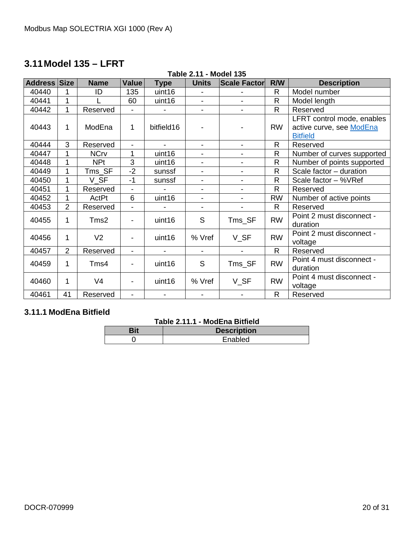# <span id="page-19-0"></span>**3.11Model 135 – LFRT**

| Table 2.11 - Model 135 |
|------------------------|
|------------------------|

| Address Size |                | <b>Name</b>    | <b>Value</b>             | <b>Type</b>    | <b>Units</b>             | <b>Scale Factor</b>      | R/W          | <b>Description</b>                                                        |
|--------------|----------------|----------------|--------------------------|----------------|--------------------------|--------------------------|--------------|---------------------------------------------------------------------------|
| 40440        | 1              | ID             | 135                      | uint16         |                          |                          | $\mathsf{R}$ | Model number                                                              |
| 40441        | 1              |                | 60                       | uint16         | $\overline{\phantom{a}}$ |                          | $\mathsf{R}$ | Model length                                                              |
| 40442        | 1              | Reserved       |                          |                | $\overline{\phantom{a}}$ |                          | R            | Reserved                                                                  |
| 40443        | 1              | ModEna         | 1                        | bitfield16     |                          | -                        | <b>RW</b>    | LFRT control mode, enables<br>active curve, see ModEna<br><b>Bitfield</b> |
| 40444        | 3              | Reserved       | $\blacksquare$           | $\blacksquare$ | $\blacksquare$           | $\blacksquare$           | $\mathsf{R}$ | Reserved                                                                  |
| 40447        | 1              | <b>NCrv</b>    | 1                        | uint16         | $\blacksquare$           | $\blacksquare$           | $\mathsf{R}$ | Number of curves supported                                                |
| 40448        | 1              | <b>NPt</b>     | 3                        | uint16         | $\blacksquare$           | $\blacksquare$           | $\mathsf{R}$ | Number of points supported                                                |
| 40449        | 1              | $Tms\_SF$      | $-2$                     | sunssf         | $\blacksquare$           | $\blacksquare$           | R            | Scale factor - duration                                                   |
| 40450        | 1              | V SF           | $-1$                     | sunssf         | $\blacksquare$           | $\blacksquare$           | R            | Scale factor - %VRef                                                      |
| 40451        | 1              | Reserved       | $\blacksquare$           |                | $\blacksquare$           | $\blacksquare$           | $\mathsf{R}$ | Reserved                                                                  |
| 40452        | 1              | ActPt          | 6                        | uint16         | $\blacksquare$           | $\blacksquare$           | <b>RW</b>    | Number of active points                                                   |
| 40453        | $\overline{2}$ | Reserved       | $\overline{\phantom{0}}$ |                | $\overline{\phantom{a}}$ |                          | $\mathsf{R}$ | Reserved                                                                  |
| 40455        | 1              | Tms2           | -                        | uint16         | S                        | Tms_SF                   | <b>RW</b>    | Point 2 must disconnect -<br>duration                                     |
| 40456        | 1              | V <sub>2</sub> |                          | uint16         | % Vref                   | V SF                     | <b>RW</b>    | Point 2 must disconnect -<br>voltage                                      |
| 40457        | 2              | Reserved       | $\overline{\phantom{0}}$ |                | $\overline{\phantom{a}}$ | $\overline{\phantom{a}}$ | $\mathsf{R}$ | Reserved                                                                  |
| 40459        | 1              | Tms4           | -                        | uint16         | S                        | Tms_SF                   | <b>RW</b>    | Point 4 must disconnect -<br>duration                                     |
| 40460        | 1              | V <sub>4</sub> | ۰                        | uint16         | % Vref                   | V_SF                     | <b>RW</b>    | Point 4 must disconnect -<br>voltage                                      |
| 40461        | 41             | Reserved       | $\overline{\phantom{0}}$ | $\blacksquare$ | $\overline{\phantom{a}}$ | $\overline{\phantom{a}}$ | R            | Reserved                                                                  |

# <span id="page-19-1"></span>**3.11.1 ModEna Bitfield**

# **Table 2.11.1 - ModEna Bitfield**

| <b>Description</b> |
|--------------------|
| Fnabled            |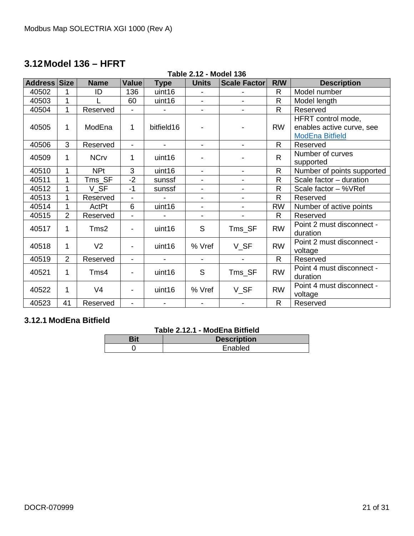# <span id="page-20-0"></span>**3.12Model 136 – HFRT**

#### **Table 2.12 - Model 136**

| Address | <b>Size</b>    | <b>Name</b>    | <b>Value</b>             | <b>Type</b>    | <b>Units</b>             | <b>Scale Factor</b>      | R/W          | <b>Description</b>                                                        |
|---------|----------------|----------------|--------------------------|----------------|--------------------------|--------------------------|--------------|---------------------------------------------------------------------------|
| 40502   | 1              | ID             | 136                      | uint16         |                          |                          | $\mathsf{R}$ | Model number                                                              |
| 40503   | 1              |                | 60                       | uint16         | $\blacksquare$           |                          | $\mathsf{R}$ | Model length                                                              |
| 40504   | 1              | Reserved       | $\blacksquare$           |                | $\overline{\phantom{a}}$ | $\blacksquare$           | R            | Reserved                                                                  |
| 40505   | 1              | ModEna         | $\mathbf 1$              | bitfield16     |                          |                          | <b>RW</b>    | HFRT control mode,<br>enables active curve, see<br><b>ModEna Bitfield</b> |
| 40506   | 3              | Reserved       | $\blacksquare$           |                | $\blacksquare$           |                          | $\mathsf{R}$ | Reserved                                                                  |
| 40509   | 1              | <b>NCrv</b>    | 1                        | uint16         |                          |                          | $\mathsf{R}$ | Number of curves<br>supported                                             |
| 40510   | 1              | <b>NPt</b>     | 3                        | uint16         | $\blacksquare$           | $\blacksquare$           | $\mathsf{R}$ | Number of points supported                                                |
| 40511   | 1              | $Tms\_SF$      | $-2$                     | sunssf         | $\overline{\phantom{a}}$ | $\blacksquare$           | $\mathsf{R}$ | Scale factor - duration                                                   |
| 40512   | 1              | V SF           | $-1$                     | sunssf         | $\overline{\phantom{a}}$ | $\overline{\phantom{a}}$ | $\mathsf{R}$ | Scale factor - %VRef                                                      |
| 40513   | 1              | Reserved       |                          |                | $\blacksquare$           |                          | $\mathsf{R}$ | Reserved                                                                  |
| 40514   | 1              | ActPt          | 6                        | uint16         | $\blacksquare$           |                          | <b>RW</b>    | Number of active points                                                   |
| 40515   | $\overline{2}$ | Reserved       | $\overline{\phantom{0}}$ |                | $\blacksquare$           |                          | $\mathsf{R}$ | Reserved                                                                  |
| 40517   | 1              | Tms2           | $\blacksquare$           | uint16         | S                        | Tms_SF                   | <b>RW</b>    | Point 2 must disconnect -<br>duration                                     |
| 40518   | 1              | V <sub>2</sub> | -                        | uint16         | % Vref                   | V_SF                     | <b>RW</b>    | Point 2 must disconnect -<br>voltage                                      |
| 40519   | $\overline{2}$ | Reserved       | $\blacksquare$           |                |                          |                          | $\mathsf{R}$ | Reserved                                                                  |
| 40521   | 1              | Tms4           | $\overline{\phantom{a}}$ | uint16         | S                        | Tms_SF                   | <b>RW</b>    | Point 4 must disconnect -<br>duration                                     |
| 40522   | 1              | V <sub>4</sub> | -                        | uint16         | % Vref                   | V_SF                     | <b>RW</b>    | Point 4 must disconnect -<br>voltage                                      |
| 40523   | 41             | Reserved       | $\blacksquare$           | $\blacksquare$ |                          |                          | $\mathsf{R}$ | Reserved                                                                  |

# <span id="page-20-1"></span>**3.12.1 ModEna Bitfield**

#### **Table 2.12.1 - ModEna Bitfield**

| <b>Description</b> |
|--------------------|
| Enabled            |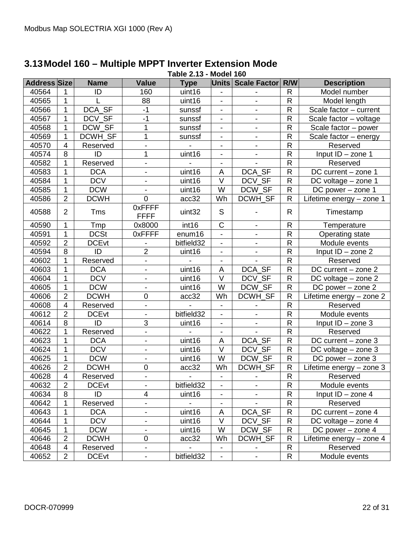| <b>Address Size</b> |                | <b>Name</b>  | <b>Value</b>             | <b>Type</b> |                              | Units   Scale Factor     | R/W            | <b>Description</b>       |
|---------------------|----------------|--------------|--------------------------|-------------|------------------------------|--------------------------|----------------|--------------------------|
| 40564               | 1              | ID           | 160                      | uint16      |                              |                          | R              | Model number             |
| 40565               | $\mathbf{1}$   |              | 88                       | uint16      | $\frac{1}{2}$                | $\blacksquare$           | ${\sf R}$      | Model length             |
| 40566               | $\mathbf{1}$   | DCA_SF       | $-1$                     | sunssf      |                              |                          | ${\sf R}$      | Scale factor - current   |
| 40567               | $\mathbf{1}$   | DCV SF       | $-1$                     | sunssf      | $\overline{\phantom{a}}$     | $\overline{\phantom{a}}$ | ${\sf R}$      | Scale factor - voltage   |
| 40568               | 1              | DCW_SF       | 1                        | sunssf      | $\overline{\phantom{a}}$     | $\overline{\phantom{a}}$ | $\mathsf{R}$   | Scale factor - power     |
| 40569               | $\mathbf 1$    | DCWH_SF      | 1                        | sunssf      | $\blacksquare$               |                          | ${\sf R}$      | Scale factor - energy    |
| 40570               | $\overline{4}$ | Reserved     |                          |             | $\blacksquare$               | $\blacksquare$           | ${\sf R}$      | Reserved                 |
| 40574               | 8              | ID           | 1                        | uint16      | $\overline{\phantom{0}}$     |                          | ${\sf R}$      | $Input ID - zone 1$      |
| 40582               | 1              | Reserved     | $\blacksquare$           |             | $\blacksquare$               |                          | $\overline{R}$ | Reserved                 |
| 40583               | $\mathbf 1$    | <b>DCA</b>   | $\overline{\phantom{a}}$ | uint16      | A                            | DCA_SF                   | ${\sf R}$      | DC current - zone 1      |
| 40584               | $\mathbf{1}$   | <b>DCV</b>   | $\overline{\phantom{0}}$ | uint16      | $\overline{\vee}$            | DCV_SF                   | ${\sf R}$      | DC voltage - zone 1      |
| 40585               | $\mathbf{1}$   | <b>DCW</b>   |                          | uint16      | W                            | DCW_SF                   | $\mathsf{R}$   | DC power - zone 1        |
| 40586               | $\overline{2}$ | <b>DCWH</b>  | $\mathbf 0$              | acc32       | Wh                           | DCWH_SF                  | $\mathsf R$    | Lifetime energy - zone 1 |
| 40588               | $\overline{2}$ | Tms          | 0xFFFF<br><b>FFFF</b>    | uint32      | $\mathsf S$                  |                          | $\mathsf{R}$   | Timestamp                |
| 40590               | 1              | Tmp          | 0x8000                   | int16       | $\mathsf C$                  | $\overline{\phantom{a}}$ | ${\sf R}$      | Temperature              |
| 40591               | $\mathbf{1}$   | <b>DCSt</b>  | 0xFFFF                   | enum16      | $\overline{\phantom{a}}$     |                          | ${\sf R}$      | Operating state          |
| 40592               | $\overline{2}$ | <b>DCEvt</b> |                          | bitfield32  | $\blacksquare$               | $\overline{\phantom{a}}$ | ${\sf R}$      | Module events            |
| 40594               | $\,8\,$        | ID           | $\overline{2}$           | uint16      | $\overline{\phantom{0}}$     |                          | ${\sf R}$      | Input ID - zone 2        |
| 40602               | 1              | Reserved     | $\blacksquare$           |             | Ξ.                           |                          | ${\sf R}$      | Reserved                 |
| 40603               | 1              | <b>DCA</b>   | $\overline{\phantom{a}}$ | uint16      | A                            | DCA_SF                   | ${\sf R}$      | DC current - zone 2      |
| 40604               | $\mathbf{1}$   | <b>DCV</b>   |                          | uint16      | $\vee$                       | DCV_SF                   | ${\sf R}$      | DC voltage - zone 2      |
| 40605               | $\mathbf 1$    | <b>DCW</b>   | $\overline{\phantom{a}}$ | uint16      | W                            | DCW_SF                   | ${\sf R}$      | DC power $-$ zone $2$    |
| 40606               | $\overline{2}$ | <b>DCWH</b>  | $\pmb{0}$                | acc32       | Wh                           | DCWH_SF                  | ${\sf R}$      | Lifetime energy - zone 2 |
| 40608               | $\overline{4}$ | Reserved     | $\blacksquare$           |             | $\overline{\phantom{0}}$     |                          | $\overline{R}$ | Reserved                 |
| 40612               | $\overline{2}$ | <b>DCEvt</b> | $\overline{\phantom{a}}$ | bitfield32  | $\overline{\phantom{0}}$     | $\overline{\phantom{a}}$ | ${\sf R}$      | Module events            |
| 40614               | 8              | ID           | 3                        | uint16      | $\blacksquare$               | $\frac{1}{2}$            | ${\sf R}$      | Input ID - zone 3        |
| 40622               | 1              | Reserved     |                          |             | $\overline{\phantom{0}}$     |                          | $\mathsf{R}$   | Reserved                 |
| 40623               | $\mathbf{1}$   | <b>DCA</b>   |                          | uint16      | A                            | DCA_SF                   | ${\sf R}$      | DC current - zone 3      |
| 40624               | $\mathbf 1$    | <b>DCV</b>   | $\overline{\phantom{a}}$ | uint16      | $\vee$                       | DCV_SF                   | ${\sf R}$      | DC voltage - zone 3      |
| 40625               | $\mathbf{1}$   | <b>DCW</b>   | $\overline{\phantom{a}}$ | uint16      | W                            | DCW_SF                   | ${\sf R}$      | DC power - zone 3        |
| 40626               | $\overline{2}$ | <b>DCWH</b>  | 0                        | acc32       | Wh                           | DCWH_SF                  | ${\sf R}$      | Lifetime energy - zone 3 |
| 40628               | $\overline{4}$ | Reserved     | $\blacksquare$           |             | $\blacksquare$               |                          | $\overline{R}$ | Reserved                 |
| 40632               | $\overline{2}$ | <b>DCEvt</b> |                          | bitfield32  | -                            | $\overline{\phantom{a}}$ | R              | Module events            |
| 40634               | 8              | ID           | 4                        | uint16      |                              |                          | ${\sf R}$      | Input $ID - zone 4$      |
| 40642               | 1              | Reserved     | $\overline{\phantom{a}}$ |             | $\overline{\phantom{a}}$     |                          | $\mathsf{R}$   | Reserved                 |
| 40643               | $\mathbf 1$    | <b>DCA</b>   | -                        | uint16      | A                            | DCA_SF                   | $\mathsf{R}$   | DC current - zone 4      |
| 40644               | 1              | <b>DCV</b>   | -                        | uint16      | V                            | DCV SF                   | $\mathsf{R}$   | DC voltage - zone 4      |
| 40645               | 1              | <b>DCW</b>   |                          | uint16      | W                            | DCW_SF                   | ${\sf R}$      | DC power $-$ zone 4      |
| 40646               | $\overline{2}$ | <b>DCWH</b>  | 0                        | acc32       | Wh                           | DCWH_SF                  | R              | Lifetime energy - zone 4 |
| 40648               | 4              | Reserved     | $\overline{\phantom{a}}$ |             | $\overline{\phantom{0}}$     | $\overline{\phantom{a}}$ | R              | Reserved                 |
| 40652               | $\overline{2}$ | <b>DCEvt</b> | -                        | bitfield32  | $\qquad \qquad \blacksquare$ |                          | R              | Module events            |

#### <span id="page-21-0"></span>**3.13Model 160 – Multiple MPPT Inverter Extension Mode Table 2.13 - Model 160**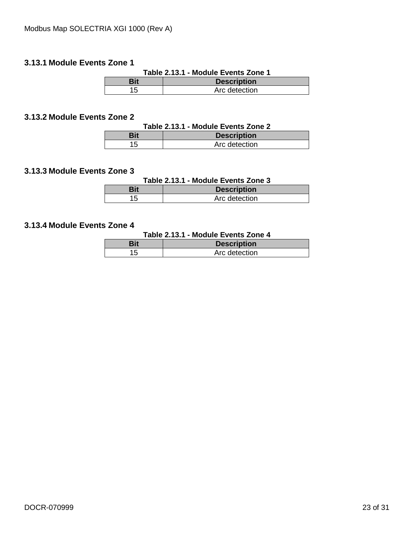#### <span id="page-22-0"></span>**3.13.1 Module Events Zone 1**

| Table 2.13.1 - Module Events Zone 1 |                    |  |  |  |  |  |  |
|-------------------------------------|--------------------|--|--|--|--|--|--|
| Bit                                 | <b>Description</b> |  |  |  |  |  |  |
| 15                                  | Arc detection      |  |  |  |  |  |  |

### <span id="page-22-1"></span>**3.13.2 Module Events Zone 2**

| Table 2.13.1 - Module Events Zone 2 |                    |  |  |  |  |  |  |
|-------------------------------------|--------------------|--|--|--|--|--|--|
| Bit                                 | <b>Description</b> |  |  |  |  |  |  |
| 15                                  | Arc detection      |  |  |  |  |  |  |

# <span id="page-22-2"></span>**3.13.3 Module Events Zone 3**

#### **Table 2.13.1 - Module Events Zone 3**

| 3i1 | <b>Description</b> |
|-----|--------------------|
|     | Arc detection      |

# <span id="page-22-3"></span>**3.13.4 Module Events Zone 4**

#### **Table 2.13.1 - Module Events Zone 4**

| Bit | <b>Description</b> |
|-----|--------------------|
|     | Arc detection      |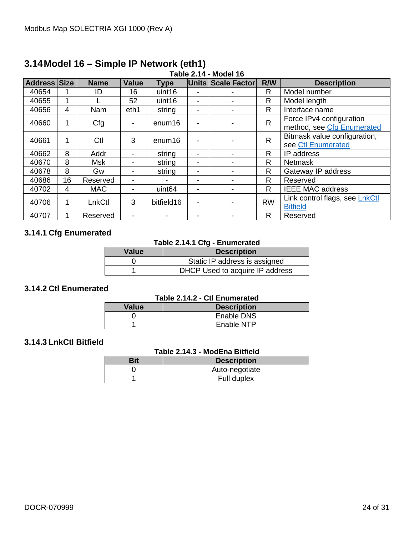| <b>Address Size</b> |    | <b>Name</b> | Value                    | <b>Type</b>        |                          | Units Scale Factor       | R/W          | <b>Description</b>                                     |
|---------------------|----|-------------|--------------------------|--------------------|--------------------------|--------------------------|--------------|--------------------------------------------------------|
| 40654               |    | ID          | 16                       | uint16             |                          |                          | R            | Model number                                           |
| 40655               |    |             | 52                       | uint16             | ۰                        |                          | R            | Model length                                           |
| 40656               | 4  | Nam         | eth1                     | string             | $\overline{\phantom{a}}$ |                          | R            | Interface name                                         |
| 40660               | 1  | Cfg         | $\overline{\phantom{a}}$ | enum16             |                          |                          | $\mathsf{R}$ | Force IPv4 configuration<br>method, see Cfg Enumerated |
| 40661               | 1  | Ctl         | 3                        | enum <sub>16</sub> | ٠                        |                          | $\mathsf{R}$ | Bitmask value configuration,<br>see Ctl Enumerated     |
| 40662               | 8  | Addr        | $\overline{\phantom{a}}$ | string             | -                        |                          | R            | IP address                                             |
| 40670               | 8  | <b>Msk</b>  | -                        | string             | $\overline{\phantom{a}}$ |                          | $\mathsf{R}$ | <b>Netmask</b>                                         |
| 40678               | 8  | Gw          | -                        | string             | $\overline{\phantom{a}}$ |                          | R            | Gateway IP address                                     |
| 40686               | 16 | Reserved    | $\overline{\phantom{a}}$ |                    | ٠                        |                          | R            | Reserved                                               |
| 40702               | 4  | <b>MAC</b>  | -                        | uint <sub>64</sub> | $\overline{\phantom{a}}$ |                          | R            | <b>IEEE MAC address</b>                                |
| 40706               | 1  | LnkCtl      | 3                        | bitfield16         | $\blacksquare$           | $\overline{\phantom{a}}$ | <b>RW</b>    | Link control flags, see LnkCtl<br><b>Bitfield</b>      |
| 40707               |    | Reserved    | -                        |                    | -                        |                          | R            | Reserved                                               |

#### <span id="page-23-0"></span>**3.14Model 16 – Simple IP Network (eth1) Table 2.14 - Model 16**

# <span id="page-23-1"></span>**3.14.1 Cfg Enumerated**

#### **Table 2.14.1 Cfg - Enumerated**

| Value | <b>Description</b>              |
|-------|---------------------------------|
|       | Static IP address is assigned   |
|       | DHCP Used to acquire IP address |

#### <span id="page-23-2"></span>**3.14.2 Ctl Enumerated**

#### **Table 2.14.2 - Ctl Enumerated**

| Value | <b>Description</b> |
|-------|--------------------|
|       | Enable DNS         |
|       | Enable NTP         |

#### <span id="page-23-3"></span>**3.14.3 LnkCtl Bitfield**

#### **Table 2.14.3 - ModEna Bitfield**

| Bit | <b>Description</b> |
|-----|--------------------|
|     | Auto-negotiate     |
|     | Full duplex        |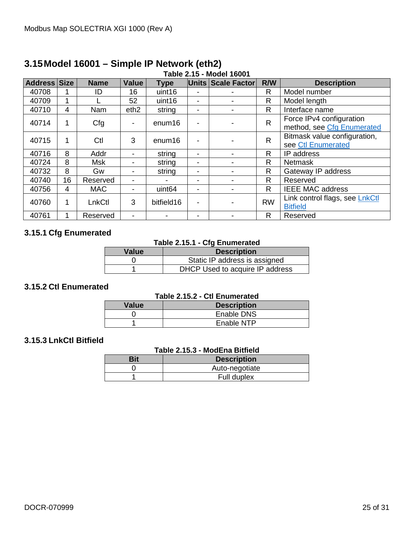| <b>Address Size</b> |    | <b>Name</b> | Value                    | <b>Type</b>        |                          | Units Scale Factor       | R/W          | <b>Description</b>                                     |
|---------------------|----|-------------|--------------------------|--------------------|--------------------------|--------------------------|--------------|--------------------------------------------------------|
| 40708               |    | ID          | 16                       | uint16             |                          |                          | R            | Model number                                           |
| 40709               | 1  |             | 52                       | uint16             |                          |                          | R            | Model length                                           |
| 40710               | 4  | Nam         | eth <sub>2</sub>         | string             |                          |                          | R            | Interface name                                         |
| 40714               | 1  | Cfg         | -                        | enum <sub>16</sub> |                          |                          | $\mathsf{R}$ | Force IPv4 configuration<br>method, see Cfg Enumerated |
| 40715               | 1  | Ctl         | 3                        | enum <sub>16</sub> |                          |                          | $\mathsf{R}$ | Bitmask value configuration,<br>see Ctl Enumerated     |
| 40716               | 8  | Addr        | $\overline{\phantom{a}}$ | string             |                          |                          | R            | IP address                                             |
| 40724               | 8  | <b>Msk</b>  | -                        | string             | $\overline{\phantom{a}}$ |                          | $\mathsf{R}$ | <b>Netmask</b>                                         |
| 40732               | 8  | Gw          | -                        | string             |                          |                          | R            | Gateway IP address                                     |
| 40740               | 16 | Reserved    | $\overline{\phantom{a}}$ |                    |                          |                          | R            | Reserved                                               |
| 40756               | 4  | <b>MAC</b>  | ۰                        | uint <sub>64</sub> |                          |                          | $\mathsf{R}$ | <b>IEEE MAC address</b>                                |
| 40760               | 1  | LnkCtl      | 3                        | bitfield16         | ٠                        | $\overline{\phantom{a}}$ | <b>RW</b>    | Link control flags, see LnkCtl<br><b>Bitfield</b>      |
| 40761               |    | Reserved    | -                        |                    |                          |                          | R            | Reserved                                               |

#### <span id="page-24-0"></span>**3.15Model 16001 – Simple IP Network (eth2) Table 2.15 - Model 16001**

# <span id="page-24-1"></span>**3.15.1 Cfg Enumerated**

#### **Table 2.15.1 - Cfg Enumerated**

| Value | <b>Description</b>              |
|-------|---------------------------------|
|       | Static IP address is assigned   |
|       | DHCP Used to acquire IP address |

#### <span id="page-24-2"></span>**3.15.2 Ctl Enumerated**

#### **Table 2.15.2 - Ctl Enumerated**

| Value | <b>Description</b> |  |  |  |  |  |
|-------|--------------------|--|--|--|--|--|
|       | Enable DNS         |  |  |  |  |  |
|       | Enable NTP         |  |  |  |  |  |

# <span id="page-24-3"></span>**3.15.3 LnkCtl Bitfield**

### **Table 2.15.3 - ModEna Bitfield**

| Bit | <b>Description</b> |
|-----|--------------------|
|     | Auto-negotiate     |
|     | Full duplex        |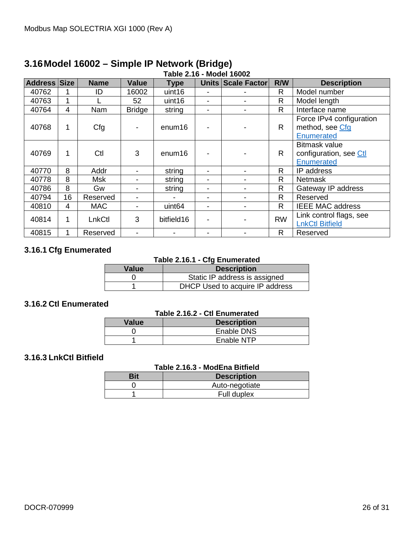| .   .        |                |             |               |                    |   |                    |              |                                                                     |
|--------------|----------------|-------------|---------------|--------------------|---|--------------------|--------------|---------------------------------------------------------------------|
| Address Size |                | <b>Name</b> | <b>Value</b>  | <b>Type</b>        |   | Units Scale Factor | R/W          | <b>Description</b>                                                  |
| 40762        |                | ID          | 16002         | uint16             |   |                    | R.           | Model number                                                        |
| 40763        |                |             | 52            | uint16             |   |                    | R            | Model length                                                        |
| 40764        | $\overline{4}$ | Nam         | <b>Bridge</b> | string             |   |                    | $\mathsf{R}$ | Interface name                                                      |
| 40768        | 1              | Cfg         |               | enum <sub>16</sub> |   |                    | $\mathsf{R}$ | Force IPv4 configuration<br>method, see Cfg<br><b>Enumerated</b>    |
| 40769        | 1              | Ctl         | 3             | enum16             |   |                    | $\mathsf{R}$ | <b>Bitmask value</b><br>configuration, see Ctl<br><b>Enumerated</b> |
| 40770        | 8              | Addr        |               | string             |   |                    | R.           | IP address                                                          |
| 40778        | 8              | Msk         |               | string             |   |                    | R.           | <b>Netmask</b>                                                      |
| 40786        | 8              | Gw          | -             | string             |   |                    | R.           | Gateway IP address                                                  |
| 40794        | 16             | Reserved    |               |                    | - |                    | $\mathsf{R}$ | Reserved                                                            |
| 40810        | 4              | <b>MAC</b>  |               | uint <sub>64</sub> |   |                    | $\mathsf{R}$ | <b>IEEE MAC address</b>                                             |
| 40814        | 1              | LnkCtl      | 3             | bitfield16         |   |                    | <b>RW</b>    | Link control flags, see<br><b>LnkCtl Bitfield</b>                   |
| 40815        |                | Reserved    |               |                    |   |                    | R.           | Reserved                                                            |

#### <span id="page-25-0"></span>**3.16Model 16002 – Simple IP Network (Bridge) Table 2.16 - Model 16002**

# <span id="page-25-1"></span>**3.16.1 Cfg Enumerated**

#### **Table 2.16.1 - Cfg Enumerated**

| <b>Value</b> | <b>Description</b>              |
|--------------|---------------------------------|
|              | Static IP address is assigned   |
|              | DHCP Used to acquire IP address |

## <span id="page-25-2"></span>**3.16.2 Ctl Enumerated**

#### **Table 2.16.2 - Ctl Enumerated**

| Value | <b>Description</b> |
|-------|--------------------|
|       | Enable DNS         |
|       | Enable NTP         |

#### <span id="page-25-3"></span>**3.16.3 LnkCtl Bitfield**

#### **Table 2.16.3 - ModEna Bitfield**

| <b>Description</b> |
|--------------------|
| Auto-negotiate     |
| Full duplex        |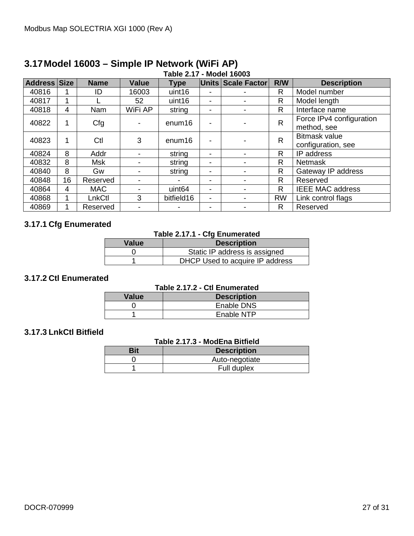| Address Size |    | <b>Name</b> | <b>Value</b> | <b>Type</b>        |                          | Units Scale Factor | R/W          | <b>Description</b>                         |
|--------------|----|-------------|--------------|--------------------|--------------------------|--------------------|--------------|--------------------------------------------|
| 40816        |    | ID          | 16003        | uint16             |                          |                    | R            | Model number                               |
| 40817        |    |             | 52           | uint16             | ٠                        |                    | R            | Model length                               |
| 40818        | 4  | Nam         | WiFi AP      | string             | ٠                        |                    | R            | Interface name                             |
| 40822        |    | Cfg         |              | enum16             | ٠                        |                    | $\mathsf{R}$ | Force IPv4 configuration<br>method, see    |
| 40823        |    | Ctl         | 3            | enum16             | $\blacksquare$           |                    | $\mathsf{R}$ | <b>Bitmask value</b><br>configuration, see |
| 40824        | 8  | Addr        |              | string             | ٠                        |                    | R            | IP address                                 |
| 40832        | 8  | <b>Msk</b>  |              | string             | ٠                        |                    | R            | <b>Netmask</b>                             |
| 40840        | 8  | Gw          |              | string             | ٠                        |                    | $\mathsf{R}$ | Gateway IP address                         |
| 40848        | 16 | Reserved    |              |                    | -                        |                    | $\mathsf{R}$ | Reserved                                   |
| 40864        | 4  | <b>MAC</b>  |              | uint <sub>64</sub> | $\overline{\phantom{0}}$ |                    | $\mathsf{R}$ | <b>IEEE MAC address</b>                    |
| 40868        |    | LnkCtl      | 3            | bitfield16         | ٠                        |                    | <b>RW</b>    | Link control flags                         |
| 40869        |    | Reserved    |              |                    | ٠                        |                    | R            | Reserved                                   |

#### <span id="page-26-0"></span>**3.17Model 16003 – Simple IP Network (WiFi AP) Table 2.17 - Model 16003**

# <span id="page-26-1"></span>**3.17.1 Cfg Enumerated**

### **Table 2.17.1 - Cfg Enumerated**

| <b>Value</b> | <b>Description</b>              |  |  |  |
|--------------|---------------------------------|--|--|--|
|              | Static IP address is assigned   |  |  |  |
|              | DHCP Used to acquire IP address |  |  |  |

#### <span id="page-26-2"></span>**3.17.2 Ctl Enumerated**

| Table 2.17.2 - Ctl Enumerated |                    |  |  |  |
|-------------------------------|--------------------|--|--|--|
| <b>Value</b>                  | <b>Description</b> |  |  |  |
|                               | Enable DNS         |  |  |  |
|                               | Enable NTP         |  |  |  |

### <span id="page-26-3"></span>**3.17.3 LnkCtl Bitfield**

#### **Table 2.17.3 - ModEna Bitfield**

| Bit | <b>Description</b> |
|-----|--------------------|
|     | Auto-negotiate     |
|     | Full duplex        |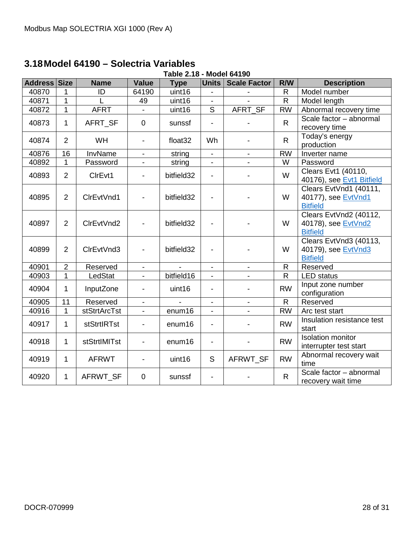# <span id="page-27-0"></span>**3.18Model 64190 – Solectria Variables**

| Table 2.18 - Model 64190 |                |                    |                          |                     |                              |                          |              |                                                                  |
|--------------------------|----------------|--------------------|--------------------------|---------------------|------------------------------|--------------------------|--------------|------------------------------------------------------------------|
| Address Size             |                | <b>Name</b>        | <b>Value</b>             | <b>Type</b>         | Units                        | <b>Scale Factor</b>      | R/W          | <b>Description</b>                                               |
| 40870                    | 1              | ID                 | 64190                    | uint16              | $\qquad \qquad \blacksquare$ |                          | $\mathsf{R}$ | Model number                                                     |
| 40871                    | $\mathbf{1}$   |                    | 49                       | uint16              | $\blacksquare$               |                          | $\mathsf{R}$ | Model length                                                     |
| 40872                    | 1              | <b>AFRT</b>        |                          | uint16              | S                            | AFRT SF                  | <b>RW</b>    | Abnormal recovery time                                           |
| 40873                    | 1              | AFRT_SF            | $\mathbf 0$              | sunssf              | $\overline{a}$               |                          | $\mathsf{R}$ | Scale factor - abnormal<br>recovery time                         |
| 40874                    | 2              | WH                 | $\blacksquare$           | float <sub>32</sub> | Wh                           |                          | $\mathsf{R}$ | Today's energy<br>production                                     |
| 40876                    | 16             | InvName            |                          | string              | $\overline{\phantom{a}}$     |                          | <b>RW</b>    | Inverter name                                                    |
| 40892                    | 1              | Password           | $\overline{\phantom{a}}$ | string              | $\overline{\phantom{a}}$     | $\overline{\phantom{a}}$ | W            | Password                                                         |
| 40893                    | $\overline{2}$ | CIrEvt1            | $\overline{\phantom{a}}$ | bitfield32          | $\overline{\phantom{a}}$     |                          | W            | Clears Evt1 (40110,<br>40176), see Evt1 Bitfield                 |
| 40895                    | $\overline{2}$ | CIrEvtVnd1         |                          | bitfield32          | $\overline{\phantom{a}}$     |                          | W            | Clears EvtVnd1 (40111,<br>40177), see EvtVnd1<br><b>Bitfield</b> |
| 40897                    | $\overline{2}$ | CIrEvtVnd2         |                          | bitfield32          | $\qquad \qquad \blacksquare$ |                          | W            | Clears EvtVnd2 (40112,<br>40178), see EvtVnd2<br><b>Bitfield</b> |
| 40899                    | 2              | CIrEvtVnd3         |                          | bitfield32          | $\qquad \qquad \blacksquare$ |                          | W            | Clears EvtVnd3 (40113,<br>40179), see EvtVnd3<br><b>Bitfield</b> |
| 40901                    | $\overline{2}$ | Reserved           | $\blacksquare$           |                     | $\overline{\phantom{a}}$     | $\blacksquare$           | R            | Reserved                                                         |
| 40903                    | $\mathbf{1}$   | LedStat            | $\mathbf{r}$             | bitfield16          | $\overline{\phantom{a}}$     |                          | $\mathsf{R}$ | <b>LED</b> status                                                |
| 40904                    | 1              | InputZone          | $\overline{\phantom{a}}$ | uint16              | $\overline{\phantom{a}}$     |                          | <b>RW</b>    | Input zone number<br>configuration                               |
| 40905                    | 11             | Reserved           | $\blacksquare$           |                     | $\overline{\phantom{a}}$     |                          | $\mathsf{R}$ | Reserved                                                         |
| 40916                    | 1              | stStrtArcTst       |                          | enum16              | $\overline{a}$               |                          | <b>RW</b>    | Arc test start                                                   |
| 40917                    | 1              | <b>stStrtIRTst</b> |                          | enum16              | $\qquad \qquad \blacksquare$ |                          | <b>RW</b>    | Insulation resistance test<br>start                              |
| 40918                    | 1              | stStrtIMITst       | $\overline{\phantom{a}}$ | enum16              | $\overline{\phantom{a}}$     |                          | <b>RW</b>    | <b>Isolation monitor</b><br>interrupter test start               |
| 40919                    | 1              | <b>AFRWT</b>       | $\overline{\phantom{a}}$ | uint16              | S                            | AFRWT_SF                 | <b>RW</b>    | Abnormal recovery wait<br>time                                   |
| 40920                    | $\mathbf 1$    | AFRWT SF           | $\overline{0}$           | sunssf              | $\blacksquare$               |                          | $\mathsf{R}$ | Scale factor - abnormal<br>recovery wait time                    |

# **Table 2.18 - Model 64190**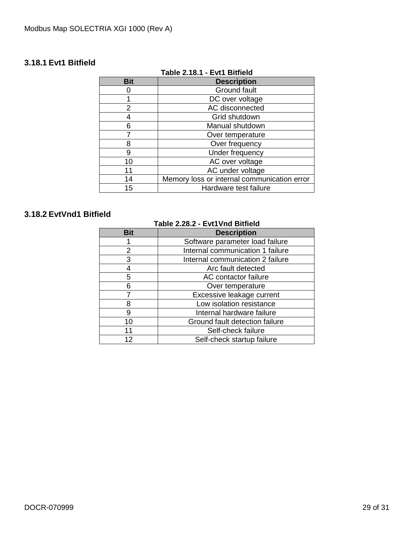# <span id="page-28-0"></span>**3.18.1 Evt1 Bitfield**

| Table 2.18.1 - Evt1 Bitfield |                                             |  |  |  |  |
|------------------------------|---------------------------------------------|--|--|--|--|
| <b>Bit</b>                   | <b>Description</b>                          |  |  |  |  |
|                              | Ground fault                                |  |  |  |  |
|                              | DC over voltage                             |  |  |  |  |
| 2                            | AC disconnected                             |  |  |  |  |
|                              | Grid shutdown                               |  |  |  |  |
| 6                            | Manual shutdown                             |  |  |  |  |
|                              | Over temperature                            |  |  |  |  |
| 8                            | Over frequency                              |  |  |  |  |
| 9                            | Under frequency                             |  |  |  |  |
| 10                           | AC over voltage                             |  |  |  |  |
| 11                           | AC under voltage                            |  |  |  |  |
| 14                           | Memory loss or internal communication error |  |  |  |  |
| 15                           | Hardware test failure                       |  |  |  |  |

# **Table 2.18.1 - Evt1 Bitfield**

# <span id="page-28-2"></span><span id="page-28-1"></span>**3.18.2 EvtVnd1 Bitfield**

#### **Table 2.28.2 - Evt1Vnd Bitfield**

| <b>Bit</b> | <b>Description</b>               |
|------------|----------------------------------|
|            | Software parameter load failure  |
| 2          | Internal communication 1 failure |
| 3          | Internal communication 2 failure |
|            | Arc fault detected               |
| 5          | AC contactor failure             |
| 6          | Over temperature                 |
|            | Excessive leakage current        |
| 8          | Low isolation resistance         |
| 9          | Internal hardware failure        |
| 10         | Ground fault detection failure   |
| 11         | Self-check failure               |
| 12         | Self-check startup failure       |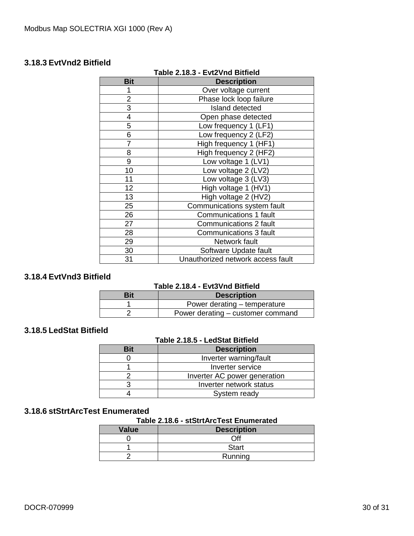#### <span id="page-29-0"></span>**3.18.3 EvtVnd2 Bitfield**

| <b>Bit</b><br><b>Description</b><br>Over voltage current<br>2<br>Phase lock loop failure<br>3<br><b>Island detected</b> |  |
|-------------------------------------------------------------------------------------------------------------------------|--|
|                                                                                                                         |  |
|                                                                                                                         |  |
|                                                                                                                         |  |
|                                                                                                                         |  |
| 4<br>Open phase detected                                                                                                |  |
| 5<br>Low frequency 1 (LF1)                                                                                              |  |
| 6<br>Low frequency 2 (LF2)                                                                                              |  |
| High frequency 1 (HF1)                                                                                                  |  |
| 8<br>High frequency 2 (HF2)                                                                                             |  |
| 9<br>Low voltage 1 (LV1)                                                                                                |  |
| 10<br>Low voltage 2 (LV2)                                                                                               |  |
| 11<br>Low voltage 3 (LV3)                                                                                               |  |
| 12<br>High voltage 1 (HV1)                                                                                              |  |
| 13<br>High voltage 2 (HV2)                                                                                              |  |
| Communications system fault<br>25                                                                                       |  |
| 26<br><b>Communications 1 fault</b>                                                                                     |  |
| 27<br><b>Communications 2 fault</b>                                                                                     |  |
| 28<br><b>Communications 3 fault</b>                                                                                     |  |
| 29<br>Network fault                                                                                                     |  |
| 30<br>Software Update fault                                                                                             |  |
| Unauthorized network access fault<br>31                                                                                 |  |

#### **Table 2.18.3 - Evt2Vnd Bitfield**

### <span id="page-29-1"></span>**3.18.4 EvtVnd3 Bitfield**

#### **Table 2.18.4 - Evt3Vnd Bitfield**

| Rit | <b>Description</b>                |
|-----|-----------------------------------|
|     | Power derating – temperature      |
|     | Power derating – customer command |

# <span id="page-29-2"></span>**3.18.5 LedStat Bitfield**

#### **Table 2.18.5 - LedStat Bitfield**

| Bit | <b>Description</b>           |
|-----|------------------------------|
|     | Inverter warning/fault       |
|     | Inverter service             |
|     | Inverter AC power generation |
|     | Inverter network status      |
|     | System ready                 |

#### <span id="page-29-3"></span>**3.18.6 stStrtArcTest Enumerated**

#### **Table 2.18.6 - stStrtArcTest Enumerated**

| <b>Value</b> | <b>Description</b> |
|--------------|--------------------|
|              | ∩ff                |
|              | <b>Start</b>       |
|              | Running            |